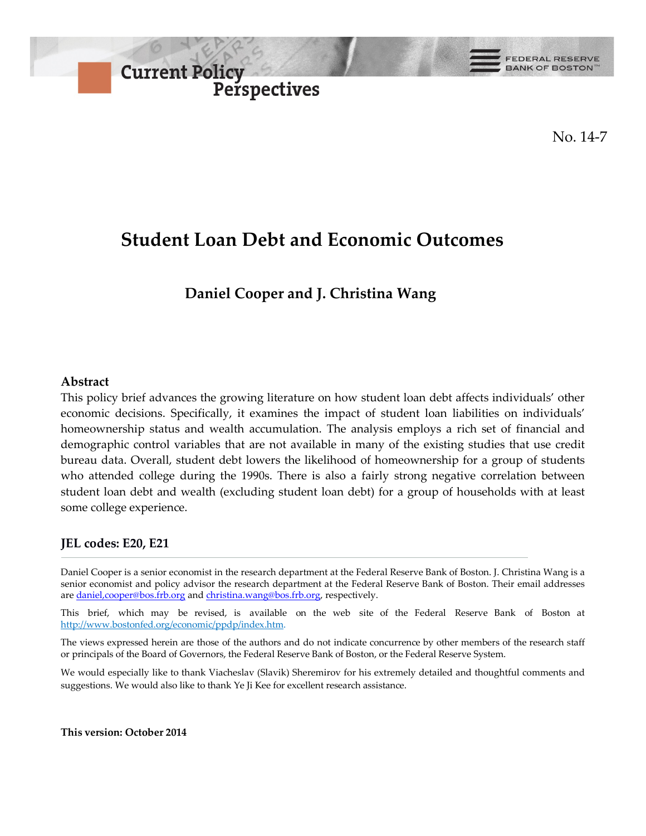

No. 14-7

# **Student Loan Debt and Economic Outcomes**

 **Daniel Cooper and J. Christina Wang**

### **Abstract**

This policy brief advances the growing literature on how student loan debt affects individuals' other economic decisions. Specifically, it examines the impact of student loan liabilities on individuals' homeownership status and wealth accumulation. The analysis employs a rich set of financial and demographic control variables that are not available in many of the existing studies that use credit bureau data. Overall, student debt lowers the likelihood of homeownership for a group of students who attended college during the 1990s. There is also a fairly strong negative correlation between student loan debt and wealth (excluding student loan debt) for a group of households with at least some college experience.

### **JEL codes: E20, E21**

Daniel Cooper is a senior economist in the research department at the Federal Reserve Bank of Boston. J. Christina Wang is a senior economist and policy advisor the research department at the Federal Reserve Bank of Boston. Their email addresses are daniel,cooper@bos.frb.org and christina.wang@bos.frb.org, respectively.

This brief, which may be revised, is available on the web site of the Federal Reserve Bank of Boston at http://www.bostonfed.org/economic/ppdp/index.htm.

The views expressed herein are those of the authors and do not indicate concurrence by other members of the research staff or principals of the Board of Governors, the Federal Reserve Bank of Boston, or the Federal Reserve System.

We would especially like to thank Viacheslav (Slavik) Sheremirov for his extremely detailed and thoughtful comments and suggestions. We would also like to thank Ye Ji Kee for excellent research assistance.

**This version: October 2014**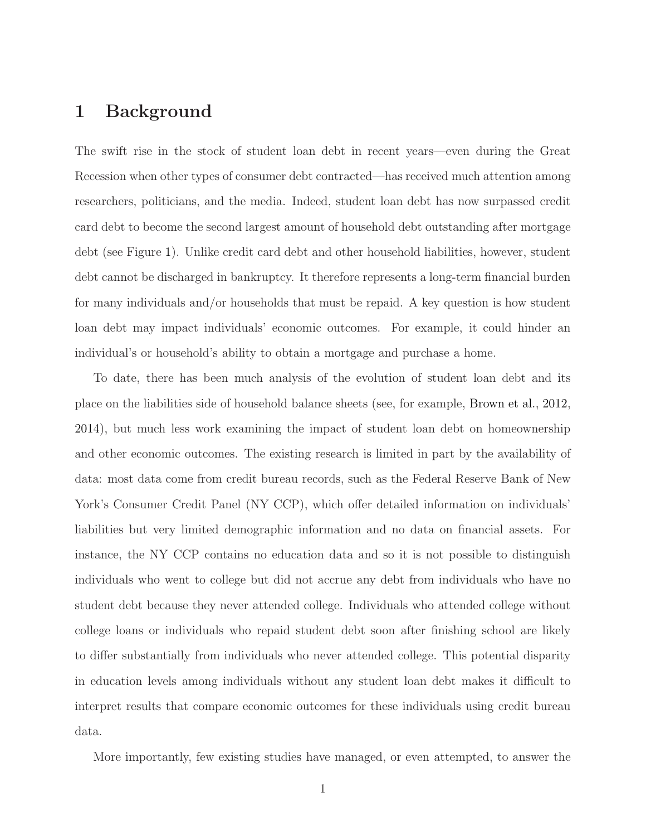# 1 Background

The swift rise in the stock of student loan debt in recent years—even during the Great Recession when other types of consumer debt contracted—has received much attention among researchers, politicians, and the media. Indeed, student loan debt has now surpassed credit card debt to become the second largest amount of household debt outstanding after mortgage debt (see Figure [1\)](#page-25-0). Unlike credit card debt and other household liabilities, however, student debt cannot be discharged in bankruptcy. It therefore represents a long-term financial burden for many individuals and/or households that must be repaid. A key question is how student loan debt may impact individuals' economic outcomes. For example, it could hinder an individual's or household's ability to obtain a mortgage and purchase a home.

To date, there has been much analysis of the evolution of student loan debt and its place on the liabilities side of household balance sheets (see, for example, [Brown et al.,](#page-24-0) [2012,](#page-24-0) [2014](#page-24-1)), but much less work examining the impact of student loan debt on homeownership and other economic outcomes. The existing research is limited in part by the availability of data: most data come from credit bureau records, such as the Federal Reserve Bank of New York's Consumer Credit Panel (NY CCP), which offer detailed information on individuals' liabilities but very limited demographic information and no data on financial assets. For instance, the NY CCP contains no education data and so it is not possible to distinguish individuals who went to college but did not accrue any debt from individuals who have no student debt because they never attended college. Individuals who attended college without college loans or individuals who repaid student debt soon after finishing school are likely to differ substantially from individuals who never attended college. This potential disparity in education levels among individuals without any student loan debt makes it difficult to interpret results that compare economic outcomes for these individuals using credit bureau data.

More importantly, few existing studies have managed, or even attempted, to answer the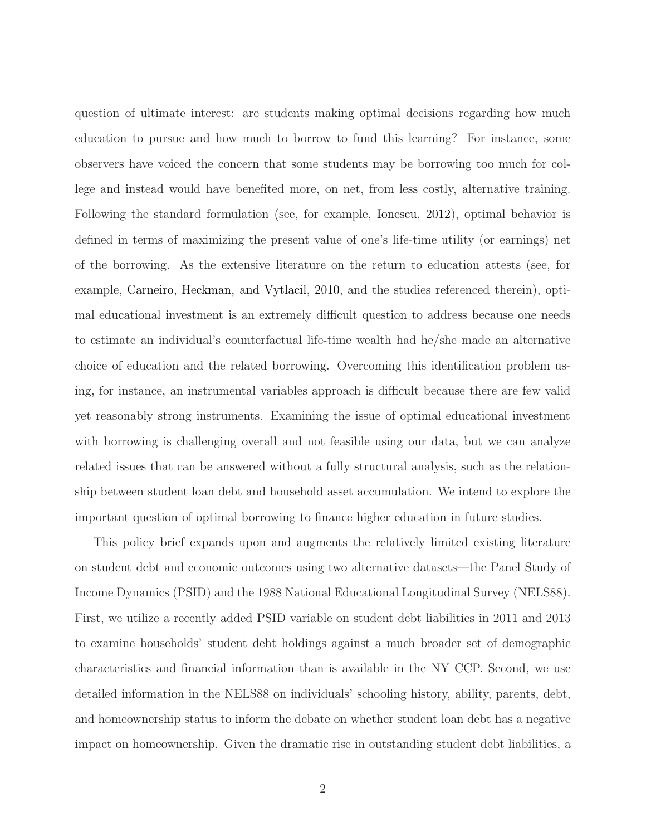question of ultimate interest: are students making optimal decisions regarding how much education to pursue and how much to borrow to fund this learning? For instance, some observers have voiced the concern that some students may be borrowing too much for college and instead would have benefited more, on net, from less costly, alternative training. Following the standard formulation (see, for example, [Ionescu](#page-24-2), [2012](#page-24-2)), optimal behavior is defined in terms of maximizing the present value of one's life-time utility (or earnings) net of the borrowing. As the extensive literature on the return to education attests (see, for example, [Carneiro, Heckman, and Vytlacil,](#page-24-3) [2010,](#page-24-3) and the studies referenced therein), optimal educational investment is an extremely difficult question to address because one needs to estimate an individual's counterfactual life-time wealth had he/she made an alternative choice of education and the related borrowing. Overcoming this identification problem using, for instance, an instrumental variables approach is difficult because there are few valid yet reasonably strong instruments. Examining the issue of optimal educational investment with borrowing is challenging overall and not feasible using our data, but we can analyze related issues that can be answered without a fully structural analysis, such as the relationship between student loan debt and household asset accumulation. We intend to explore the important question of optimal borrowing to finance higher education in future studies.

This policy brief expands upon and augments the relatively limited existing literature on student debt and economic outcomes using two alternative datasets—the Panel Study of Income Dynamics (PSID) and the 1988 National Educational Longitudinal Survey (NELS88). First, we utilize a recently added PSID variable on student debt liabilities in 2011 and 2013 to examine households' student debt holdings against a much broader set of demographic characteristics and financial information than is available in the NY CCP. Second, we use detailed information in the NELS88 on individuals' schooling history, ability, parents, debt, and homeownership status to inform the debate on whether student loan debt has a negative impact on homeownership. Given the dramatic rise in outstanding student debt liabilities, a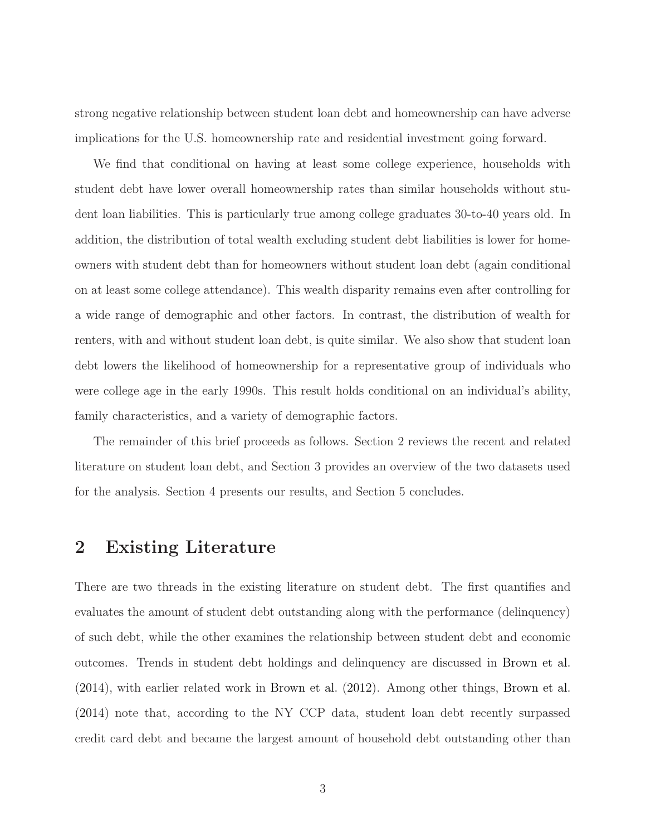strong negative relationship between student loan debt and homeownership can have adverse implications for the U.S. homeownership rate and residential investment going forward.

We find that conditional on having at least some college experience, households with student debt have lower overall homeownership rates than similar households without student loan liabilities. This is particularly true among college graduates 30-to-40 years old. In addition, the distribution of total wealth excluding student debt liabilities is lower for homeowners with student debt than for homeowners without student loan debt (again conditional on at least some college attendance). This wealth disparity remains even after controlling for a wide range of demographic and other factors. In contrast, the distribution of wealth for renters, with and without student loan debt, is quite similar. We also show that student loan debt lowers the likelihood of homeownership for a representative group of individuals who were college age in the early 1990s. This result holds conditional on an individual's ability, family characteristics, and a variety of demographic factors.

The remainder of this brief proceeds as follows. Section 2 reviews the recent and related literature on student loan debt, and Section 3 provides an overview of the two datasets used for the analysis. Section 4 presents our results, and Section 5 concludes.

### 2 Existing Literature

There are two threads in the existing literature on student debt. The first quantifies and evaluates the amount of student debt outstanding along with the performance (delinquency) of such debt, while the other examines the relationship between student debt and economic outcomes. Trends in student debt holdings and delinquency are discussed in [Brown et al.](#page-24-1) [\(2014](#page-24-1)), with earlier related work in [Brown et al.](#page-24-0) [\(2012\)](#page-24-0). Among other things, [Brown et al.](#page-24-1) [\(2014](#page-24-1)) note that, according to the NY CCP data, student loan debt recently surpassed credit card debt and became the largest amount of household debt outstanding other than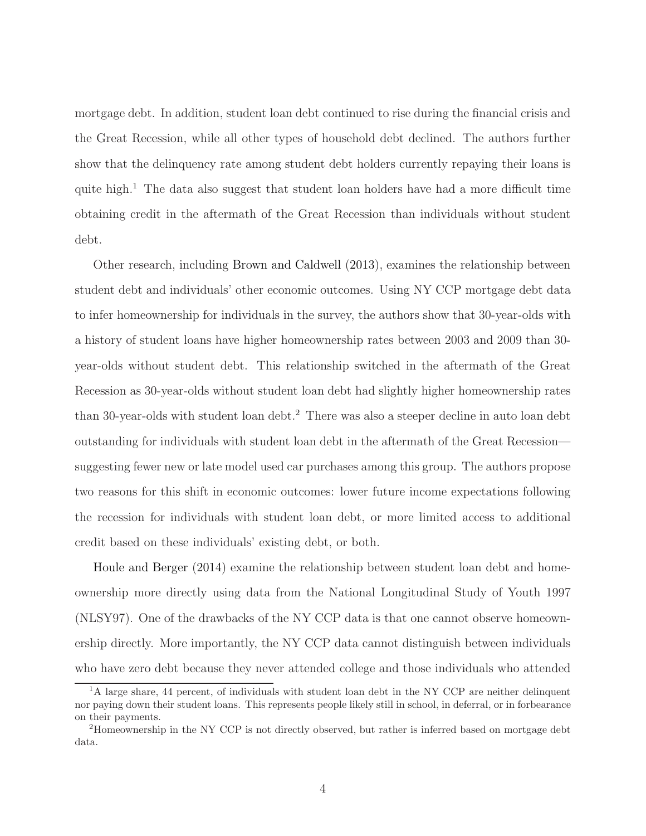mortgage debt. In addition, student loan debt continued to rise during the financial crisis and the Great Recession, while all other types of household debt declined. The authors further show that the delinquency rate among student debt holders currently repaying their loans is quite high.<sup>1</sup> The data also suggest that student loan holders have had a more difficult time obtaining credit in the aftermath of the Great Recession than individuals without student debt.

Other research, including [Brown and Caldwell](#page-24-4) [\(2013](#page-24-4)), examines the relationship between student debt and individuals' other economic outcomes. Using NY CCP mortgage debt data to infer homeownership for individuals in the survey, the authors show that 30-year-olds with a history of student loans have higher homeownership rates between 2003 and 2009 than 30 year-olds without student debt. This relationship switched in the aftermath of the Great Recession as 30-year-olds without student loan debt had slightly higher homeownership rates than 30-year-olds with student loan debt.<sup>2</sup> There was also a steeper decline in auto loan debt outstanding for individuals with student loan debt in the aftermath of the Great Recession suggesting fewer new or late model used car purchases among this group. The authors propose two reasons for this shift in economic outcomes: lower future income expectations following the recession for individuals with student loan debt, or more limited access to additional [credit based on these](#page-24-5) individuals' existing debt, or both.

Houle and Berger [\(2014](#page-24-5)) examine the relationship between student loan debt and homeownership more directly using data from the National Longitudinal Study of Youth 1997 (NLSY97). One of the drawbacks of the NY CCP data is that one cannot observe homeownership directly. More importantly, the NY CCP data cannot distinguish between individuals who have zero debt because they never attended college and those individuals who attended

<sup>&</sup>lt;sup>1</sup>A large share, 44 percent, of individuals with student loan debt in the NY CCP are neither delinquent nor paying down their student loans. This represents people likely still in school, in deferral, or in forbearance on their payments.

<sup>2</sup>Homeownership in the NY CCP is not directly observed, but rather is inferred based on mortgage debt data.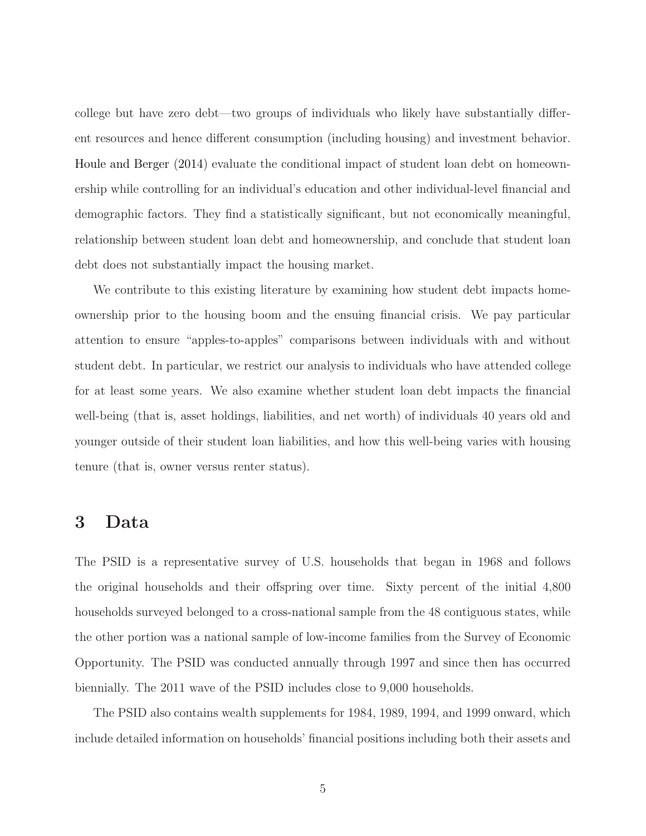college but have zero debt—two groups of individuals who likely have substantially different resources and hence different consumption (including housing) and investment behavior. [Houle and Berger](#page-24-5) [\(2014\)](#page-24-5) evaluate the conditional impact of student loan debt on homeownership while controlling for an individual's education and other individual-level financial and demographic factors. They find a statistically significant, but not economically meaningful, relationship between student loan debt and homeownership, and conclude that student loan debt does not substantially impact the housing market.

We contribute to this existing literature by examining how student debt impacts homeownership prior to the housing boom and the ensuing financial crisis. We pay particular attention to ensure "apples-to-apples" comparisons between individuals with and without student debt. In particular, we restrict our analysis to individuals who have attended college for at least some years. We also examine whether student loan debt impacts the financial well-being (that is, asset holdings, liabilities, and net worth) of individuals 40 years old and younger outside of their student loan liabilities, and how this well-being varies with housing tenure (that is, owner versus renter status).

# 3 Data

The PSID is a representative survey of U.S. households that began in 1968 and follows the original households and their offspring over time. Sixty percent of the initial 4,800 households surveyed belonged to a cross-national sample from the 48 contiguous states, while the other portion was a national sample of low-income families from the Survey of Economic Opportunity. The PSID was conducted annually through 1997 and since then has occurred biennially. The 2011 wave of the PSID includes close to 9,000 households.

The PSID also contains wealth supplements for 1984, 1989, 1994, and 1999 onward, which include detailed information on households' financial positions including both their assets and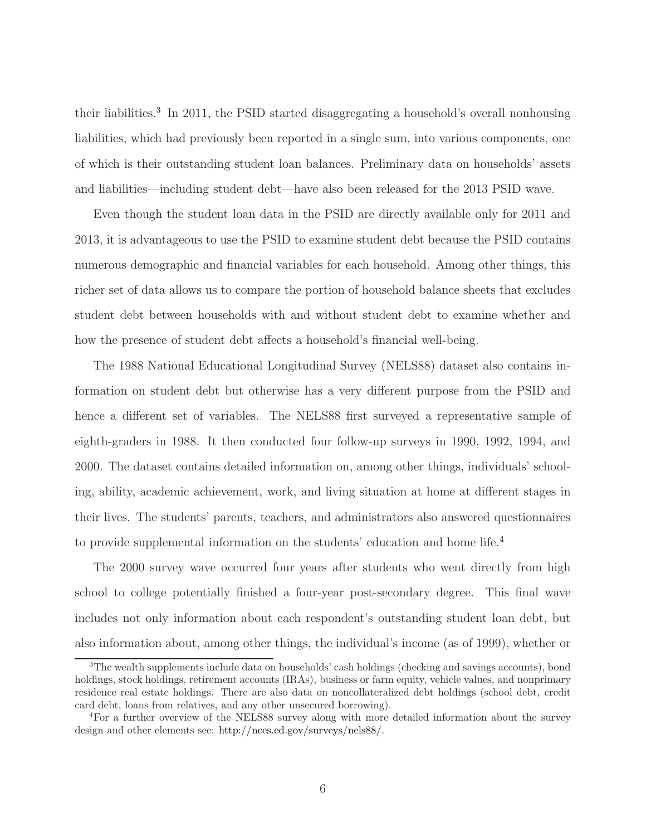their liabilities.<sup>3</sup> In 2011, the PSID started disaggregating a household's overall nonhousing liabilities, which had previously been reported in a single sum, into various components, one of which is their outstanding student loan balances. Preliminary data on households' assets and liabilities—including student debt—have also been released for the 2013 PSID wave.

Even though the student loan data in the PSID are directly available only for 2011 and 2013, it is advantageous to use the PSID to examine student debt because the PSID contains numerous demographic and financial variables for each household. Among other things, this richer set of data allows us to compare the portion of household balance sheets that excludes student debt between households with and without student debt to examine whether and how the presence of student debt affects a household's financial well-being.

The 1988 National Educational Longitudinal Survey (NELS88) dataset also contains information on student debt but otherwise has a very different purpose from the PSID and hence a different set of variables. The NELS88 first surveyed a representative sample of eighth-graders in 1988. It then conducted four follow-up surveys in 1990, 1992, 1994, and 2000. The dataset contains detailed information on, among other things, individuals' schooling, ability, academic achievement, work, and living situation at home at different stages in their lives. The students' parents, teachers, and administrators also answered questionnaires to provide supplemental information on the students' education and home life.<sup>4</sup>

The 2000 survey wave occurred four years after students who went directly from high school to college potentially finished a four-year post-secondary degree. This final wave includes not only information about each respondent's outstanding student loan debt, but also information about, among other things, the individual's income (as of 1999), whether or

<sup>3</sup>The wealth supplements include data on households' cash holdings (checking and savings accounts), bond holdings, stock holdings, retirement accounts (IRAs), business or farm equity, vehicle values, and nonprimary residence real estate holdings. There are also data on noncollateralized debt holdings (school debt, credit card debt, loans from relatives, and any other unsecured borrowing).

<sup>4</sup>For a further overview of the NELS88 survey along with more detailed information about the survey design and other elements see: [http://nces.ed.gov/surveys/nels88/.](http://nces.ed.gov/surveys/nels88/)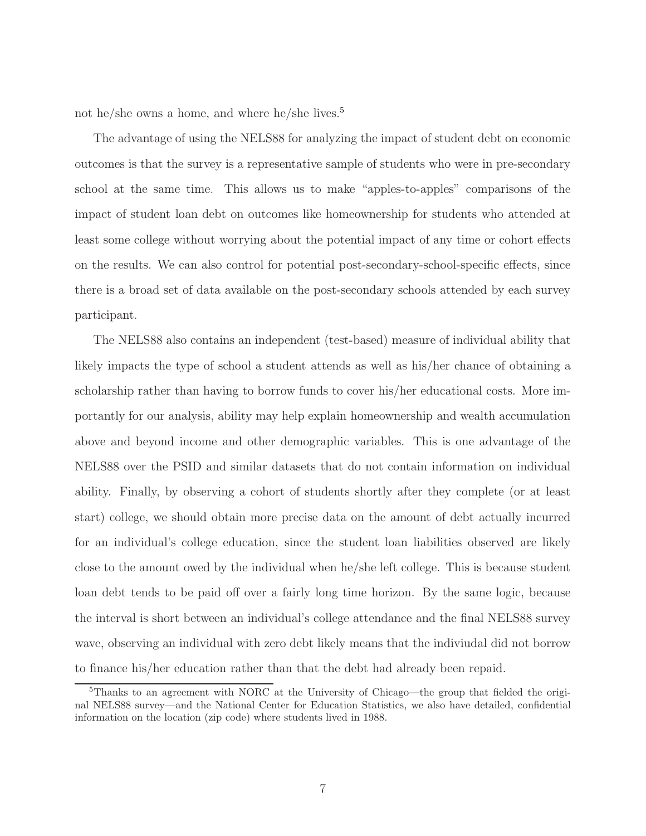not he/she owns a home, and where he/she lives.<sup>5</sup>

The advantage of using the NELS88 for analyzing the impact of student debt on economic outcomes is that the survey is a representative sample of students who were in pre-secondary school at the same time. This allows us to make "apples-to-apples" comparisons of the impact of student loan debt on outcomes like homeownership for students who attended at least some college without worrying about the potential impact of any time or cohort effects on the results. We can also control for potential post-secondary-school-specific effects, since there is a broad set of data available on the post-secondary schools attended by each survey participant.

The NELS88 also contains an independent (test-based) measure of individual ability that likely impacts the type of school a student attends as well as his/her chance of obtaining a scholarship rather than having to borrow funds to cover his/her educational costs. More importantly for our analysis, ability may help explain homeownership and wealth accumulation above and beyond income and other demographic variables. This is one advantage of the NELS88 over the PSID and similar datasets that do not contain information on individual ability. Finally, by observing a cohort of students shortly after they complete (or at least start) college, we should obtain more precise data on the amount of debt actually incurred for an individual's college education, since the student loan liabilities observed are likely close to the amount owed by the individual when he/she left college. This is because student loan debt tends to be paid off over a fairly long time horizon. By the same logic, because the interval is short between an individual's college attendance and the final NELS88 survey wave, observing an individual with zero debt likely means that the indiviudal did not borrow to finance his/her education rather than that the debt had already been repaid.

<sup>5</sup>Thanks to an agreement with NORC at the University of Chicago—the group that fielded the original NELS88 survey—and the National Center for Education Statistics, we also have detailed, confidential information on the location (zip code) where students lived in 1988.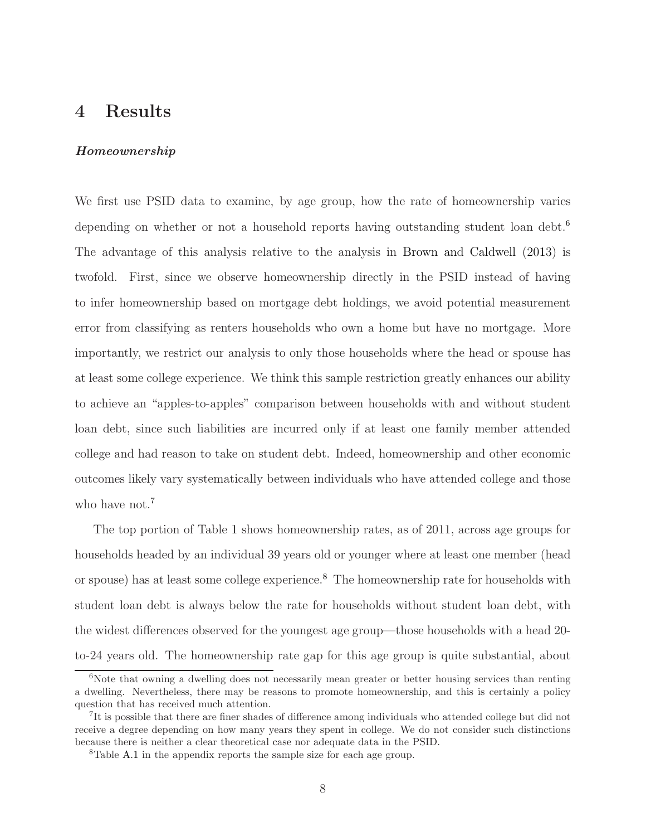### 4 Results

#### Homeownership

We first use PSID data to examine, by age group, how the rate of homeownership varies depending on whether or not a household reports having outstanding student loan debt.<sup>6</sup> The advantage of this analysis relative to the analysis in [Brown and Caldwell](#page-24-4) [\(2013](#page-24-4)) is twofold. First, since we observe homeownership directly in the PSID instead of having to infer homeownership based on mortgage debt holdings, we avoid potential measurement error from classifying as renters households who own a home but have no mortgage. More importantly, we restrict our analysis to only those households where the head or spouse has at least some college experience. We think this sample restriction greatly enhances our ability to achieve an "apples-to-apples" comparison between households with and without student loan debt, since such liabilities are incurred only if at least one family member attended college and had reason to take on student debt. Indeed, homeownership and other economic outcomes likely vary systematically between individuals who have attended college and those who have not.<sup>7</sup>

The top portion of Table [1](#page-27-0) shows homeownership rates, as of 2011, across age groups for households headed by an individual 39 years old or younger where at least one member (head or spouse) has at least some college experience.<sup>8</sup> The homeownership rate for households with student loan debt is always below the rate for households without student loan debt, with the widest differences observed for the youngest age group—those households with a head 20 to-24 years old. The homeownership rate gap for this age group is quite substantial, about

<sup>&</sup>lt;sup>6</sup>Note that owning a dwelling does not necessarily mean greater or better housing services than renting a dwelling. Nevertheless, there may be reasons to promote homeownership, and this is certainly a policy question that has received much attention.

<sup>&</sup>lt;sup>7</sup>It is possible that there are finer shades of difference among individuals who attended college but did not receive a degree depending on how many years they spent in college. We do not consider such distinctions because there is neither a clear theoretical case nor adequate data in the PSID.

<sup>8</sup>Table [A.1](#page-34-0) in the appendix reports the sample size for each age group.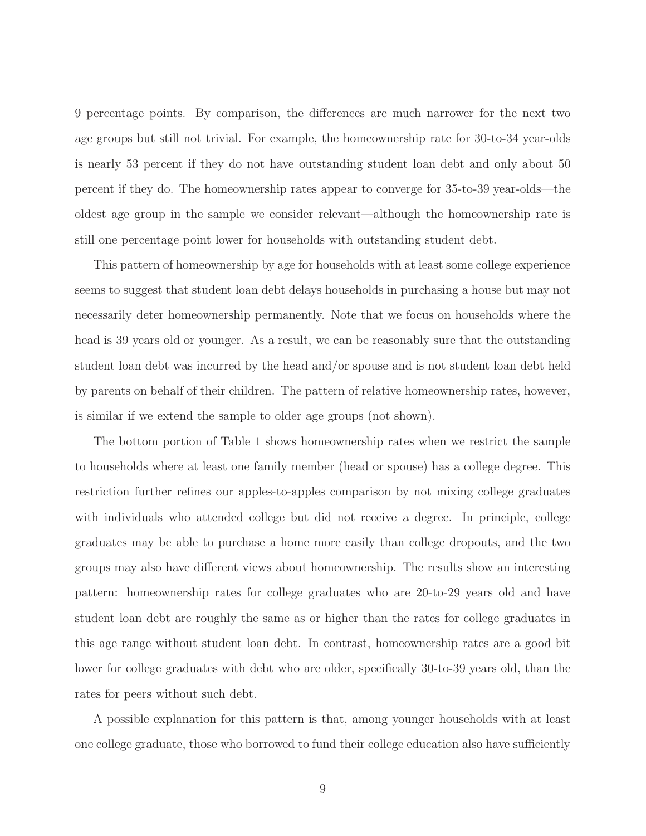9 percentage points. By comparison, the differences are much narrower for the next two age groups but still not trivial. For example, the homeownership rate for 30-to-34 year-olds is nearly 53 percent if they do not have outstanding student loan debt and only about 50 percent if they do. The homeownership rates appear to converge for 35-to-39 year-olds—the oldest age group in the sample we consider relevant—although the homeownership rate is still one percentage point lower for households with outstanding student debt.

This pattern of homeownership by age for households with at least some college experience seems to suggest that student loan debt delays households in purchasing a house but may not necessarily deter homeownership permanently. Note that we focus on households where the head is 39 years old or younger. As a result, we can be reasonably sure that the outstanding student loan debt was incurred by the head and/or spouse and is not student loan debt held by parents on behalf of their children. The pattern of relative homeownership rates, however, is similar if we extend the sample to older age groups (not shown).

The bottom portion of Table [1](#page-27-0) shows homeownership rates when we restrict the sample to households where at least one family member (head or spouse) has a college degree. This restriction further refines our apples-to-apples comparison by not mixing college graduates with individuals who attended college but did not receive a degree. In principle, college graduates may be able to purchase a home more easily than college dropouts, and the two groups may also have different views about homeownership. The results show an interesting pattern: homeownership rates for college graduates who are 20-to-29 years old and have student loan debt are roughly the same as or higher than the rates for college graduates in this age range without student loan debt. In contrast, homeownership rates are a good bit lower for college graduates with debt who are older, specifically 30-to-39 years old, than the rates for peers without such debt.

A possible explanation for this pattern is that, among younger households with at least one college graduate, those who borrowed to fund their college education also have sufficiently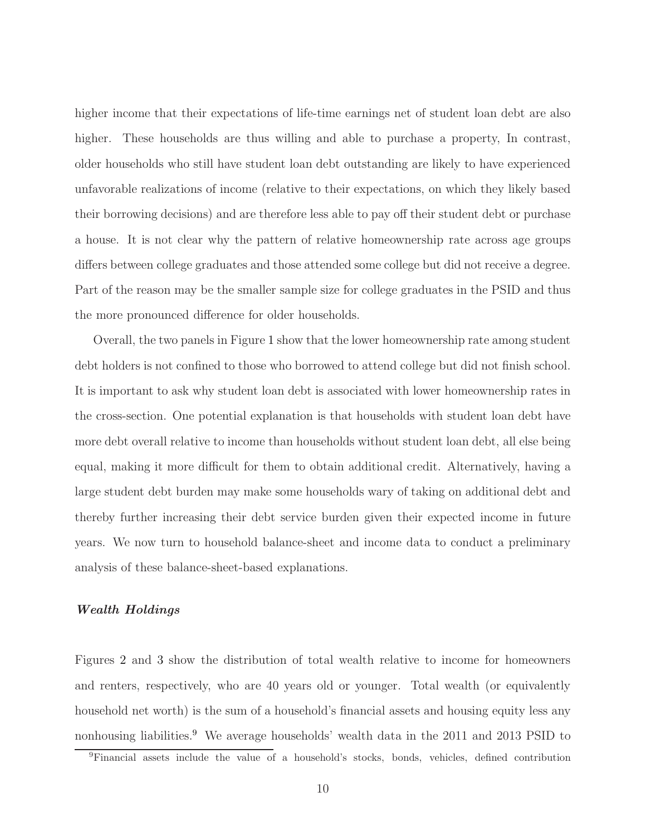higher income that their expectations of life-time earnings net of student loan debt are also higher. These households are thus willing and able to purchase a property, In contrast, older households who still have student loan debt outstanding are likely to have experienced unfavorable realizations of income (relative to their expectations, on which they likely based their borrowing decisions) and are therefore less able to pay off their student debt or purchase a house. It is not clear why the pattern of relative homeownership rate across age groups differs between college graduates and those attended some college but did not receive a degree. Part of the reason may be the smaller sample size for college graduates in the PSID and thus the more pronounced difference for older households.

Overall, the two panels in Figure [1](#page-27-0) show that the lower homeownership rate among student debt holders is not confined to those who borrowed to attend college but did not finish school. It is important to ask why student loan debt is associated with lower homeownership rates in the cross-section. One potential explanation is that households with student loan debt have more debt overall relative to income than households without student loan debt, all else being equal, making it more difficult for them to obtain additional credit. Alternatively, having a large student debt burden may make some households wary of taking on additional debt and thereby further increasing their debt service burden given their expected income in future years. We now turn to household balance-sheet and income data to conduct a preliminary analysis of these balance-sheet-based explanations.

#### Wealth Holdings

Figures [2](#page-25-1) and [3](#page-26-0) show the distribution of total wealth relative to income for homeowners and renters, respectively, who are 40 years old or younger. Total wealth (or equivalently household net worth) is the sum of a household's financial assets and housing equity less any nonhousing liabilities.<sup>9</sup> We average households' wealth data in the 2011 and 2013 PSID to

<sup>&</sup>lt;sup>9</sup>Financial assets include the value of a household's stocks, bonds, vehicles, defined contribution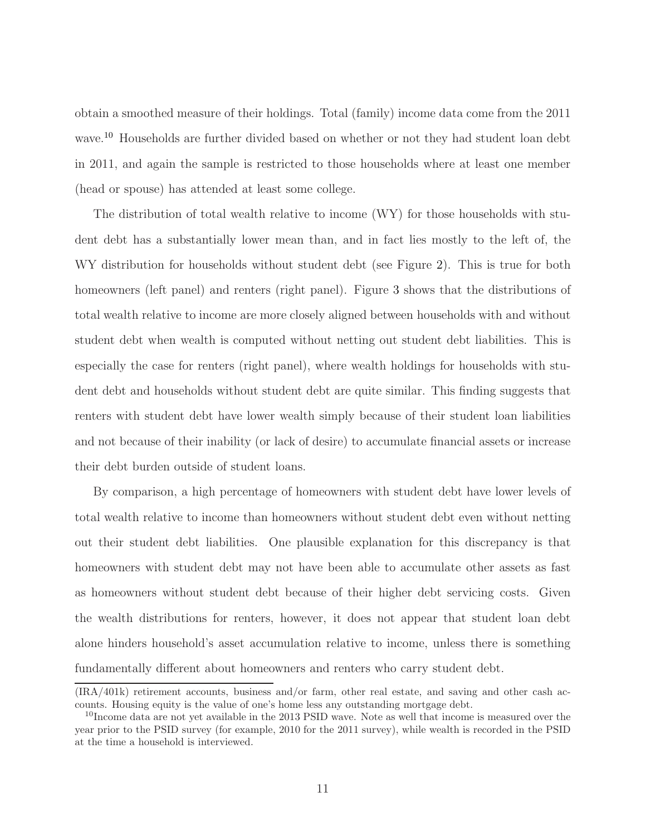obtain a smoothed measure of their holdings. Total (family) income data come from the 2011 wave.<sup>10</sup> Households are further divided based on whether or not they had student loan debt in 2011, and again the sample is restricted to those households where at least one member (head or spouse) has attended at least some college.

The distribution of total wealth relative to income (WY) for those households with student debt has a substantially lower mean than, and in fact lies mostly to the left of, the WY distribution for households without student debt (see Figure [2\)](#page-25-1). This is true for both homeowners (left panel) and renters (right panel). Figure [3](#page-26-0) shows that the distributions of total wealth relative to income are more closely aligned between households with and without student debt when wealth is computed without netting out student debt liabilities. This is especially the case for renters (right panel), where wealth holdings for households with student debt and households without student debt are quite similar. This finding suggests that renters with student debt have lower wealth simply because of their student loan liabilities and not because of their inability (or lack of desire) to accumulate financial assets or increase their debt burden outside of student loans.

By comparison, a high percentage of homeowners with student debt have lower levels of total wealth relative to income than homeowners without student debt even without netting out their student debt liabilities. One plausible explanation for this discrepancy is that homeowners with student debt may not have been able to accumulate other assets as fast as homeowners without student debt because of their higher debt servicing costs. Given the wealth distributions for renters, however, it does not appear that student loan debt alone hinders household's asset accumulation relative to income, unless there is something fundamentally different about homeowners and renters who carry student debt.

<sup>(</sup>IRA/401k) retirement accounts, business and/or farm, other real estate, and saving and other cash accounts. Housing equity is the value of one's home less any outstanding mortgage debt.

<sup>&</sup>lt;sup>10</sup>Income data are not yet available in the 2013 PSID wave. Note as well that income is measured over the year prior to the PSID survey (for example, 2010 for the 2011 survey), while wealth is recorded in the PSID at the time a household is interviewed.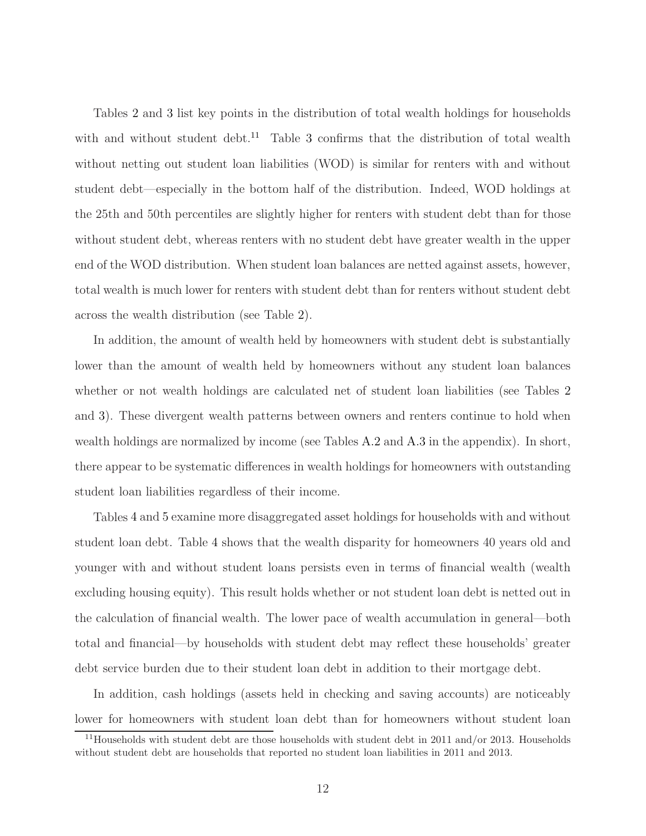Tables [2](#page-28-0) and [3](#page-28-1) list key points in the distribution of total wealth holdings for households with and without student debt.<sup>11</sup> Table [3](#page-28-1) confirms that the distribution of total wealth without netting out student loan liabilities (WOD) is similar for renters with and without student debt—especially in the bottom half of the distribution. Indeed, WOD holdings at the 25th and 50th percentiles are slightly higher for renters with student debt than for those without student debt, whereas renters with no student debt have greater wealth in the upper end of the WOD distribution. When student loan balances are netted against assets, however, total wealth is much lower for renters with student debt than for renters without student debt across the wealth distribution (see Table [2\)](#page-28-0).

In addition, the amount of wealth held by homeowners with student debt is substantially lower than the amount of wealth held by homeowners without any student loan balances whether or not wealth holdings are calculated net of student loan liabilities (see Tables [2](#page-28-0)) and [3\)](#page-28-1). These divergent wealth patterns between owners and renters continue to hold when wealth holdings are normalized by income (see Tables [A.2](#page-34-1) and [A.3](#page-35-0) in the appendix). In short, there appear to be systematic differences in wealth holdings for homeowners with outstanding student loan liabilities regardless of their income.

Tables [4](#page-29-0) and [5](#page-29-1) examine more disaggregated asset holdings for households with and without student loan debt. Table [4](#page-29-0) shows that the wealth disparity for homeowners 40 years old and younger with and without student loans persists even in terms of financial wealth (wealth excluding housing equity). This result holds whether or not student loan debt is netted out in the calculation of financial wealth. The lower pace of wealth accumulation in general—both total and financial—by households with student debt may reflect these households' greater debt service burden due to their student loan debt in addition to their mortgage debt.

In addition, cash holdings (assets held in checking and saving accounts) are noticeably lower for homeowners with student loan debt than for homeowners without student loan

 $11$ Households with student debt are those households with student debt in 2011 and/or 2013. Households without student debt are households that reported no student loan liabilities in 2011 and 2013.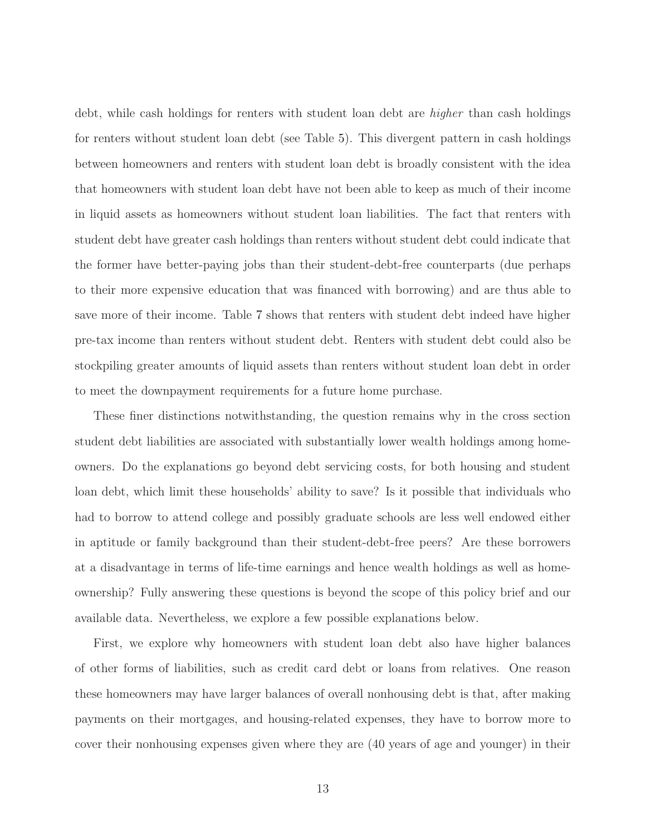debt, while cash holdings for renters with student loan debt are higher than cash holdings for renters without student loan debt (see Table [5\)](#page-29-1). This divergent pattern in cash holdings between homeowners and renters with student loan debt is broadly consistent with the idea that homeowners with student loan debt have not been able to keep as much of their income in liquid assets as homeowners without student loan liabilities. The fact that renters with student debt have greater cash holdings than renters without student debt could indicate that the former have better-paying jobs than their student-debt-free counterparts (due perhaps to their more expensive education that was financed with borrowing) and are thus able to save more of their income. Table [7](#page-30-0) shows that renters with student debt indeed have higher pre-tax income than renters without student debt. Renters with student debt could also be stockpiling greater amounts of liquid assets than renters without student loan debt in order to meet the downpayment requirements for a future home purchase.

These finer distinctions notwithstanding, the question remains why in the cross section student debt liabilities are associated with substantially lower wealth holdings among homeowners. Do the explanations go beyond debt servicing costs, for both housing and student loan debt, which limit these households' ability to save? Is it possible that individuals who had to borrow to attend college and possibly graduate schools are less well endowed either in aptitude or family background than their student-debt-free peers? Are these borrowers at a disadvantage in terms of life-time earnings and hence wealth holdings as well as homeownership? Fully answering these questions is beyond the scope of this policy brief and our available data. Nevertheless, we explore a few possible explanations below.

First, we explore why homeowners with student loan debt also have higher balances of other forms of liabilities, such as credit card debt or loans from relatives. One reason these homeowners may have larger balances of overall nonhousing debt is that, after making payments on their mortgages, and housing-related expenses, they have to borrow more to cover their nonhousing expenses given where they are (40 years of age and younger) in their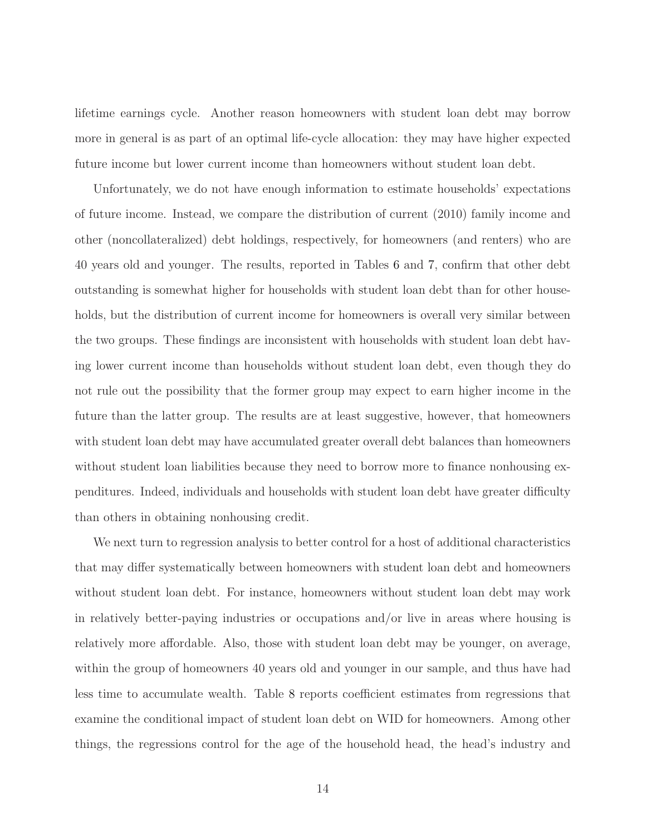lifetime earnings cycle. Another reason homeowners with student loan debt may borrow more in general is as part of an optimal life-cycle allocation: they may have higher expected future income but lower current income than homeowners without student loan debt.

Unfortunately, we do not have enough information to estimate households' expectations of future income. Instead, we compare the distribution of current (2010) family income and other (noncollateralized) debt holdings, respectively, for homeowners (and renters) who are 40 years old and younger. The results, reported in Tables [6](#page-30-1) and [7,](#page-30-0) confirm that other debt outstanding is somewhat higher for households with student loan debt than for other households, but the distribution of current income for homeowners is overall very similar between the two groups. These findings are inconsistent with households with student loan debt having lower current income than households without student loan debt, even though they do not rule out the possibility that the former group may expect to earn higher income in the future than the latter group. The results are at least suggestive, however, that homeowners with student loan debt may have accumulated greater overall debt balances than homeowners without student loan liabilities because they need to borrow more to finance nonhousing expenditures. Indeed, individuals and households with student loan debt have greater difficulty than others in obtaining nonhousing credit.

We next turn to regression analysis to better control for a host of additional characteristics that may differ systematically between homeowners with student loan debt and homeowners without student loan debt. For instance, homeowners without student loan debt may work in relatively better-paying industries or occupations and/or live in areas where housing is relatively more affordable. Also, those with student loan debt may be younger, on average, within the group of homeowners 40 years old and younger in our sample, and thus have had less time to accumulate wealth. Table [8](#page-31-0) reports coefficient estimates from regressions that examine the conditional impact of student loan debt on WID for homeowners. Among other things, the regressions control for the age of the household head, the head's industry and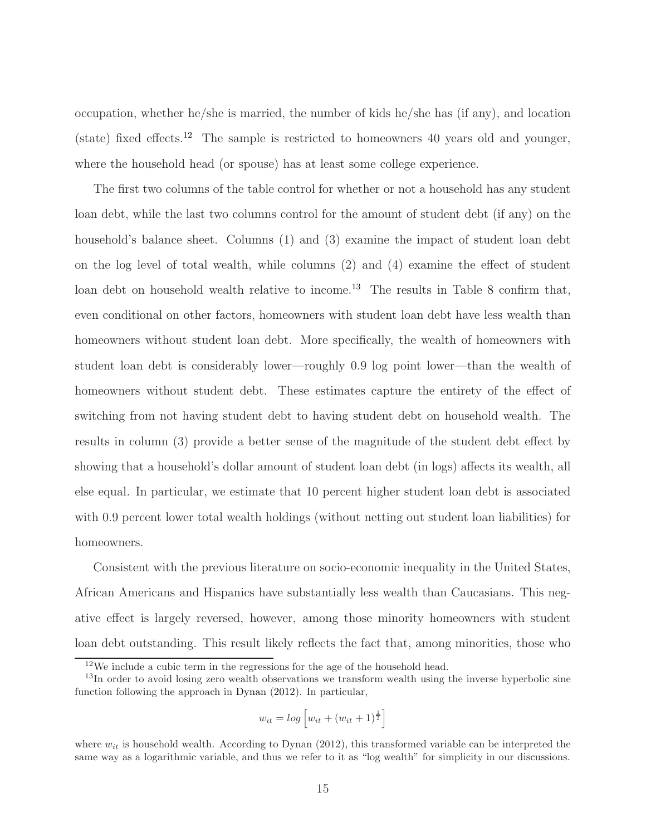occupation, whether he/she is married, the number of kids he/she has (if any), and location (state) fixed effects.<sup>12</sup> The sample is restricted to homeowners 40 years old and younger, where the household head (or spouse) has at least some college experience.

The first two columns of the table control for whether or not a household has any student loan debt, while the last two columns control for the amount of student debt (if any) on the household's balance sheet. Columns (1) and (3) examine the impact of student loan debt on the log level of total wealth, while columns (2) and (4) examine the effect of student loan debt on household wealth relative to income.<sup>13</sup> The results in Table [8](#page-31-0) confirm that, even conditional on other factors, homeowners with student loan debt have less wealth than homeowners without student loan debt. More specifically, the wealth of homeowners with student loan debt is considerably lower—roughly 0.9 log point lower—than the wealth of homeowners without student debt. These estimates capture the entirety of the effect of switching from not having student debt to having student debt on household wealth. The results in column (3) provide a better sense of the magnitude of the student debt effect by showing that a household's dollar amount of student loan debt (in logs) affects its wealth, all else equal. In particular, we estimate that 10 percent higher student loan debt is associated with 0.9 percent lower total wealth holdings (without netting out student loan liabilities) for homeowners.

Consistent with the previous literature on socio-economic inequality in the United States, African Americans and Hispanics have substantially less wealth than Caucasians. This negative effect is largely reversed, however, among those minority homeowners with student loan debt outstanding. This result likely reflects the fact that, among minorities, those who

$$
w_{it} = log\left[w_{it} + (w_{it} + 1)^{\frac{1}{2}}\right]
$$

<sup>12</sup>We include a cubic term in the regressions for the age of the household head.

<sup>&</sup>lt;sup>13</sup>In order to avoid losing zero wealth observations we transform wealth using the inverse hyperbolic sine function following the approach in [Dynan](#page-24-6) [\(2012\)](#page-24-6). In particular,

where  $w_{it}$  is household wealth. According to Dynan (2012), this transformed variable can be interpreted the same way as a logarithmic variable, and thus we refer to it as "log wealth" for simplicity in our discussions.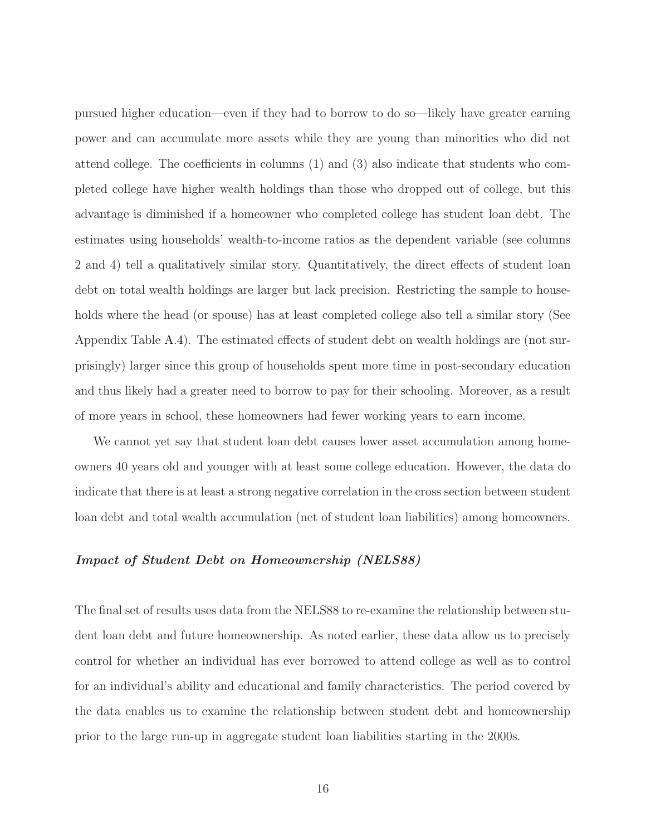pursued higher education—even if they had to borrow to do so—likely have greater earning power and can accumulate more assets while they are young than minorities who did not attend college. The coefficients in columns (1) and (3) also indicate that students who completed college have higher wealth holdings than those who dropped out of college, but this advantage is diminished if a homeowner who completed college has student loan debt. The estimates using households' wealth-to-income ratios as the dependent variable (see columns 2 and 4) tell a qualitatively similar story. Quantitatively, the direct effects of student loan debt on total wealth holdings are larger but lack precision. Restricting the sample to households where the head (or spouse) has at least completed college also tell a similar story (See Appendix Table [A.4\)](#page-36-0). The estimated effects of student debt on wealth holdings are (not surprisingly) larger since this group of households spent more time in post-secondary education and thus likely had a greater need to borrow to pay for their schooling. Moreover, as a result of more years in school, these homeowners had fewer working years to earn income.

We cannot yet say that student loan debt causes lower asset accumulation among homeowners 40 years old and younger with at least some college education. However, the data do indicate that there is at least a strong negative correlation in the cross section between student loan debt and total wealth accumulation (net of student loan liabilities) among homeowners.

#### Impact of Student Debt on Homeownership (NELS88)

The final set of results uses data from the NELS88 to re-examine the relationship between student loan debt and future homeownership. As noted earlier, these data allow us to precisely control for whether an individual has ever borrowed to attend college as well as to control for an individual's ability and educational and family characteristics. The period covered by the data enables us to examine the relationship between student debt and homeownership prior to the large run-up in aggregate student loan liabilities starting in the 2000s.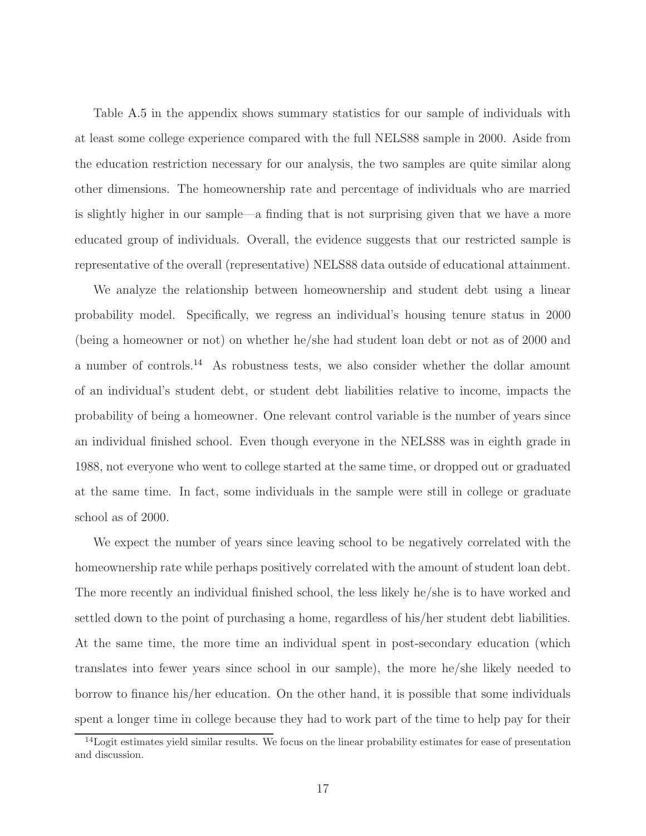Table [A.5](#page-37-0) in the appendix shows summary statistics for our sample of individuals with at least some college experience compared with the full NELS88 sample in 2000. Aside from the education restriction necessary for our analysis, the two samples are quite similar along other dimensions. The homeownership rate and percentage of individuals who are married is slightly higher in our sample—a finding that is not surprising given that we have a more educated group of individuals. Overall, the evidence suggests that our restricted sample is representative of the overall (representative) NELS88 data outside of educational attainment.

We analyze the relationship between homeownership and student debt using a linear probability model. Specifically, we regress an individual's housing tenure status in 2000 (being a homeowner or not) on whether he/she had student loan debt or not as of 2000 and a number of controls.<sup>14</sup> As robustness tests, we also consider whether the dollar amount of an individual's student debt, or student debt liabilities relative to income, impacts the probability of being a homeowner. One relevant control variable is the number of years since an individual finished school. Even though everyone in the NELS88 was in eighth grade in 1988, not everyone who went to college started at the same time, or dropped out or graduated at the same time. In fact, some individuals in the sample were still in college or graduate school as of 2000.

We expect the number of years since leaving school to be negatively correlated with the homeownership rate while perhaps positively correlated with the amount of student loan debt. The more recently an individual finished school, the less likely he/she is to have worked and settled down to the point of purchasing a home, regardless of his/her student debt liabilities. At the same time, the more time an individual spent in post-secondary education (which translates into fewer years since school in our sample), the more he/she likely needed to borrow to finance his/her education. On the other hand, it is possible that some individuals spent a longer time in college because they had to work part of the time to help pay for their

<sup>&</sup>lt;sup>14</sup>Logit estimates yield similar results. We focus on the linear probability estimates for ease of presentation and discussion.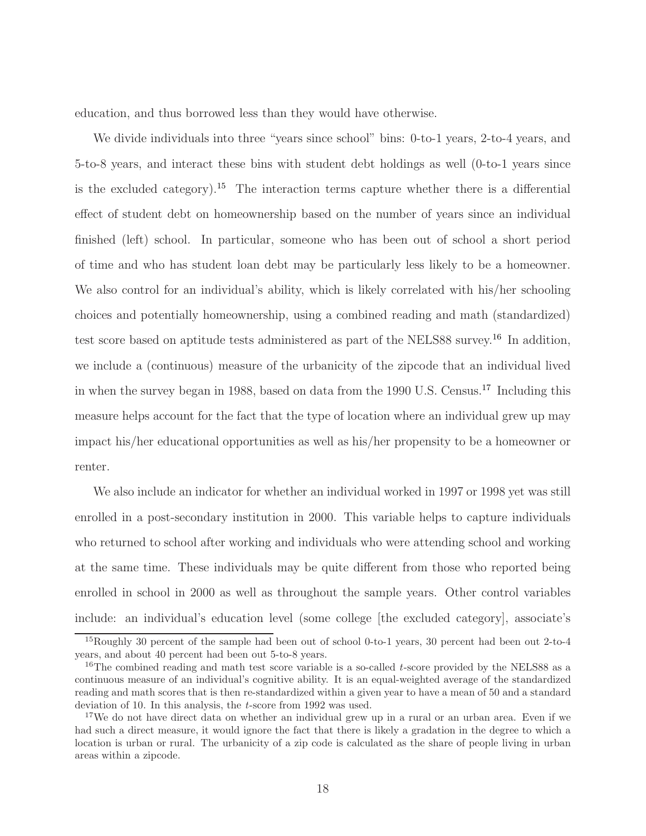education, and thus borrowed less than they would have otherwise.

We divide individuals into three "years since school" bins: 0-to-1 years, 2-to-4 years, and 5-to-8 years, and interact these bins with student debt holdings as well (0-to-1 years since is the excluded category).<sup>15</sup> The interaction terms capture whether there is a differential effect of student debt on homeownership based on the number of years since an individual finished (left) school. In particular, someone who has been out of school a short period of time and who has student loan debt may be particularly less likely to be a homeowner. We also control for an individual's ability, which is likely correlated with his/her schooling choices and potentially homeownership, using a combined reading and math (standardized) test score based on aptitude tests administered as part of the NELS88 survey.<sup>16</sup> In addition, we include a (continuous) measure of the urbanicity of the zipcode that an individual lived in when the survey began in 1988, based on data from the 1990 U.S. Census.<sup>17</sup> Including this measure helps account for the fact that the type of location where an individual grew up may impact his/her educational opportunities as well as his/her propensity to be a homeowner or renter.

We also include an indicator for whether an individual worked in 1997 or 1998 yet was still enrolled in a post-secondary institution in 2000. This variable helps to capture individuals who returned to school after working and individuals who were attending school and working at the same time. These individuals may be quite different from those who reported being enrolled in school in 2000 as well as throughout the sample years. Other control variables include: an individual's education level (some college [the excluded category], associate's

<sup>15</sup>Roughly 30 percent of the sample had been out of school 0-to-1 years, 30 percent had been out 2-to-4 years, and about 40 percent had been out 5-to-8 years.

<sup>&</sup>lt;sup>16</sup>The combined reading and math test score variable is a so-called t-score provided by the NELS88 as a continuous measure of an individual's cognitive ability. It is an equal-weighted average of the standardized reading and math scores that is then re-standardized within a given year to have a mean of 50 and a standard deviation of 10. In this analysis, the t-score from 1992 was used.

<sup>&</sup>lt;sup>17</sup>We do not have direct data on whether an individual grew up in a rural or an urban area. Even if we had such a direct measure, it would ignore the fact that there is likely a gradation in the degree to which a location is urban or rural. The urbanicity of a zip code is calculated as the share of people living in urban areas within a zipcode.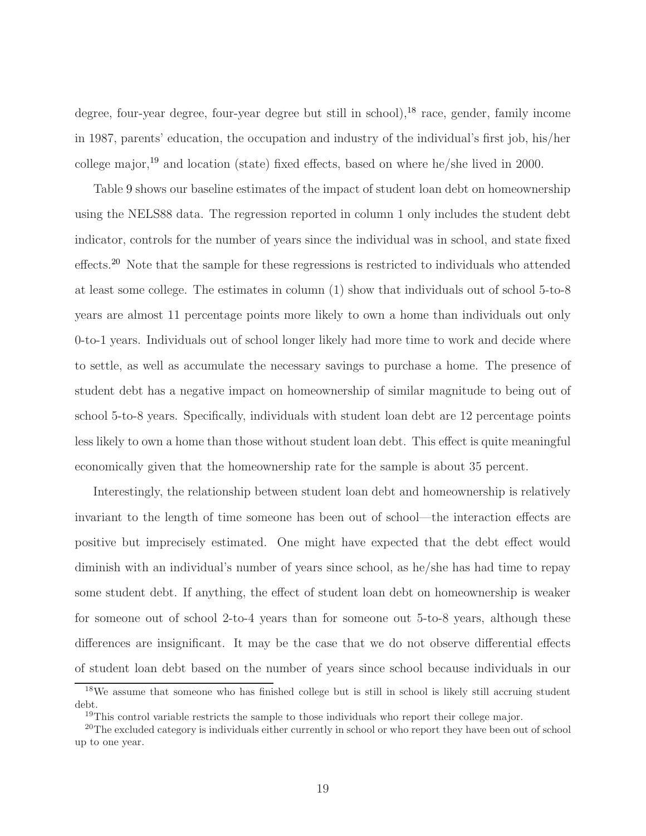degree, four-year degree, four-year degree but still in school), <sup>18</sup> race, gender, family income in 1987, parents' education, the occupation and industry of the individual's first job, his/her college major,<sup>19</sup> and location (state) fixed effects, based on where he/she lived in 2000.

Table [9](#page-32-0) shows our baseline estimates of the impact of student loan debt on homeownership using the NELS88 data. The regression reported in column 1 only includes the student debt indicator, controls for the number of years since the individual was in school, and state fixed effects.<sup>20</sup> Note that the sample for these regressions is restricted to individuals who attended at least some college. The estimates in column (1) show that individuals out of school 5-to-8 years are almost 11 percentage points more likely to own a home than individuals out only 0-to-1 years. Individuals out of school longer likely had more time to work and decide where to settle, as well as accumulate the necessary savings to purchase a home. The presence of student debt has a negative impact on homeownership of similar magnitude to being out of school 5-to-8 years. Specifically, individuals with student loan debt are 12 percentage points less likely to own a home than those without student loan debt. This effect is quite meaningful economically given that the homeownership rate for the sample is about 35 percent.

Interestingly, the relationship between student loan debt and homeownership is relatively invariant to the length of time someone has been out of school—the interaction effects are positive but imprecisely estimated. One might have expected that the debt effect would diminish with an individual's number of years since school, as he/she has had time to repay some student debt. If anything, the effect of student loan debt on homeownership is weaker for someone out of school 2-to-4 years than for someone out 5-to-8 years, although these differences are insignificant. It may be the case that we do not observe differential effects of student loan debt based on the number of years since school because individuals in our

<sup>18</sup>We assume that someone who has finished college but is still in school is likely still accruing student debt.

<sup>&</sup>lt;sup>19</sup>This control variable restricts the sample to those individuals who report their college major.

<sup>&</sup>lt;sup>20</sup>The excluded category is individuals either currently in school or who report they have been out of school up to one year.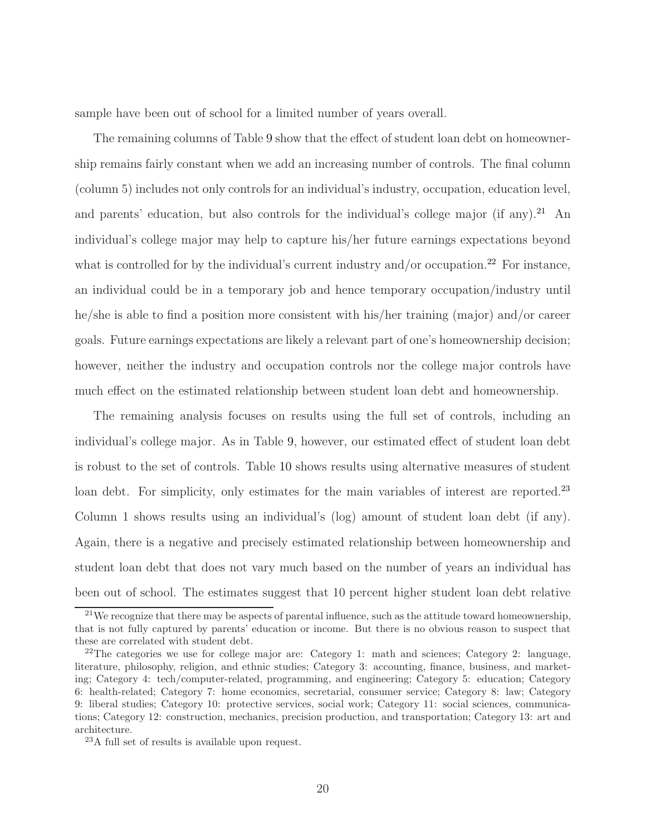sample have been out of school for a limited number of years overall.

The remaining columns of Table [9](#page-32-0) show that the effect of student loan debt on homeownership remains fairly constant when we add an increasing number of controls. The final column (column 5) includes not only controls for an individual's industry, occupation, education level, and parents' education, but also controls for the individual's college major (if any).<sup>21</sup> An individual's college major may help to capture his/her future earnings expectations beyond what is controlled for by the individual's current industry and/or occupation.<sup>22</sup> For instance, an individual could be in a temporary job and hence temporary occupation/industry until he/she is able to find a position more consistent with his/her training (major) and/or career goals. Future earnings expectations are likely a relevant part of one's homeownership decision; however, neither the industry and occupation controls nor the college major controls have much effect on the estimated relationship between student loan debt and homeownership.

The remaining analysis focuses on results using the full set of controls, including an individual's college major. As in Table [9,](#page-32-0) however, our estimated effect of student loan debt is robust to the set of controls. Table [10](#page-33-0) shows results using alternative measures of student loan debt. For simplicity, only estimates for the main variables of interest are reported.<sup>23</sup> Column 1 shows results using an individual's (log) amount of student loan debt (if any). Again, there is a negative and precisely estimated relationship between homeownership and student loan debt that does not vary much based on the number of years an individual has been out of school. The estimates suggest that 10 percent higher student loan debt relative

 $21$ We recognize that there may be aspects of parental influence, such as the attitude toward homeownership, that is not fully captured by parents' education or income. But there is no obvious reason to suspect that these are correlated with student debt.

<sup>&</sup>lt;sup>22</sup>The categories we use for college major are: Category 1: math and sciences; Category 2: language, literature, philosophy, religion, and ethnic studies; Category 3: accounting, finance, business, and marketing; Category 4: tech/computer-related, programming, and engineering; Category 5: education; Category 6: health-related; Category 7: home economics, secretarial, consumer service; Category 8: law; Category 9: liberal studies; Category 10: protective services, social work; Category 11: social sciences, communications; Category 12: construction, mechanics, precision production, and transportation; Category 13: art and architecture.

<sup>23</sup>A full set of results is available upon request.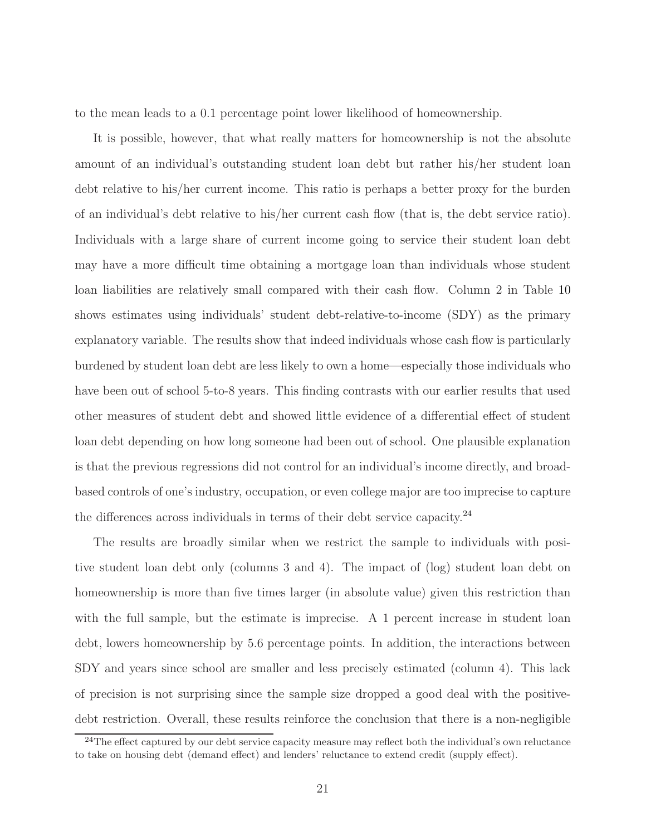to the mean leads to a 0.1 percentage point lower likelihood of homeownership.

It is possible, however, that what really matters for homeownership is not the absolute amount of an individual's outstanding student loan debt but rather his/her student loan debt relative to his/her current income. This ratio is perhaps a better proxy for the burden of an individual's debt relative to his/her current cash flow (that is, the debt service ratio). Individuals with a large share of current income going to service their student loan debt may have a more difficult time obtaining a mortgage loan than individuals whose student loan liabilities are relatively small compared with their cash flow. Column 2 in Table [10](#page-33-0) shows estimates using individuals' student debt-relative-to-income (SDY) as the primary explanatory variable. The results show that indeed individuals whose cash flow is particularly burdened by student loan debt are less likely to own a home—especially those individuals who have been out of school 5-to-8 years. This finding contrasts with our earlier results that used other measures of student debt and showed little evidence of a differential effect of student loan debt depending on how long someone had been out of school. One plausible explanation is that the previous regressions did not control for an individual's income directly, and broadbased controls of one's industry, occupation, or even college major are too imprecise to capture the differences across individuals in terms of their debt service capacity.<sup>24</sup>

The results are broadly similar when we restrict the sample to individuals with positive student loan debt only (columns 3 and 4). The impact of (log) student loan debt on homeownership is more than five times larger (in absolute value) given this restriction than with the full sample, but the estimate is imprecise. A 1 percent increase in student loan debt, lowers homeownership by 5.6 percentage points. In addition, the interactions between SDY and years since school are smaller and less precisely estimated (column 4). This lack of precision is not surprising since the sample size dropped a good deal with the positivedebt restriction. Overall, these results reinforce the conclusion that there is a non-negligible

 $^{24}$ The effect captured by our debt service capacity measure may reflect both the individual's own reluctance to take on housing debt (demand effect) and lenders' reluctance to extend credit (supply effect).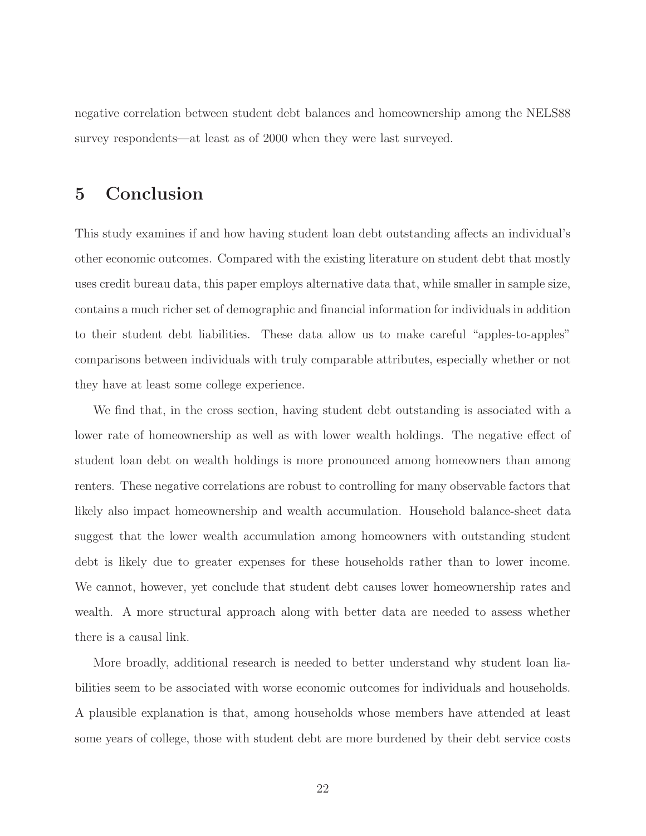negative correlation between student debt balances and homeownership among the NELS88 survey respondents—at least as of 2000 when they were last surveyed.

# 5 Conclusion

This study examines if and how having student loan debt outstanding affects an individual's other economic outcomes. Compared with the existing literature on student debt that mostly uses credit bureau data, this paper employs alternative data that, while smaller in sample size, contains a much richer set of demographic and financial information for individuals in addition to their student debt liabilities. These data allow us to make careful "apples-to-apples" comparisons between individuals with truly comparable attributes, especially whether or not they have at least some college experience.

We find that, in the cross section, having student debt outstanding is associated with a lower rate of homeownership as well as with lower wealth holdings. The negative effect of student loan debt on wealth holdings is more pronounced among homeowners than among renters. These negative correlations are robust to controlling for many observable factors that likely also impact homeownership and wealth accumulation. Household balance-sheet data suggest that the lower wealth accumulation among homeowners with outstanding student debt is likely due to greater expenses for these households rather than to lower income. We cannot, however, yet conclude that student debt causes lower homeownership rates and wealth. A more structural approach along with better data are needed to assess whether there is a causal link.

More broadly, additional research is needed to better understand why student loan liabilities seem to be associated with worse economic outcomes for individuals and households. A plausible explanation is that, among households whose members have attended at least some years of college, those with student debt are more burdened by their debt service costs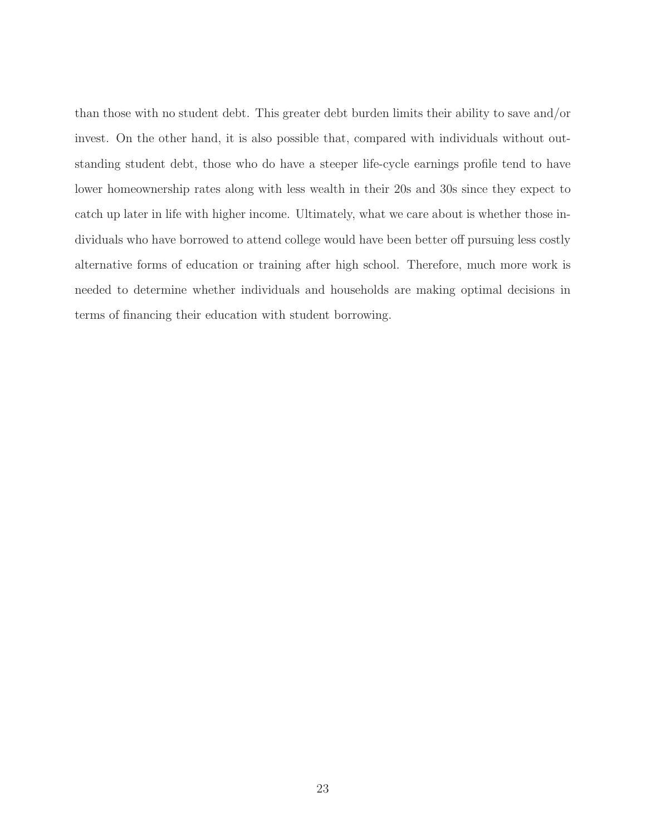than those with no student debt. This greater debt burden limits their ability to save and/or invest. On the other hand, it is also possible that, compared with individuals without outstanding student debt, those who do have a steeper life-cycle earnings profile tend to have lower homeownership rates along with less wealth in their 20s and 30s since they expect to catch up later in life with higher income. Ultimately, what we care about is whether those individuals who have borrowed to attend college would have been better off pursuing less costly alternative forms of education or training after high school. Therefore, much more work is needed to determine whether individuals and households are making optimal decisions in terms of financing their education with student borrowing.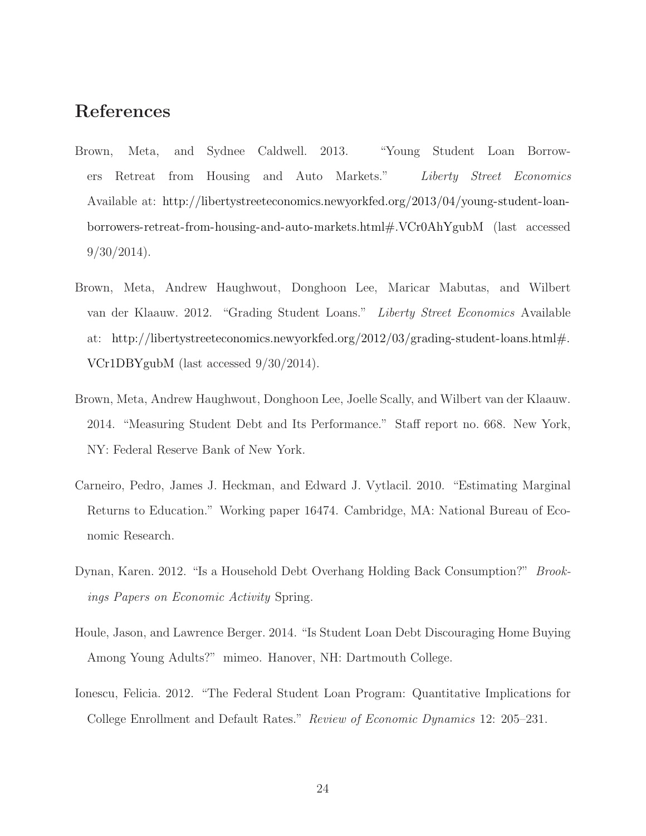### References

- <span id="page-24-4"></span>Brown, Meta, and Sydnee Caldwell. 2013. "Young Student Loan Borrowers Retreat from Housing and Auto Markets." Liberty Street Economics Available at: [http://libertystreeteconomics.newyorkfed.org/2013/04/young-student-loan](http://libertystreeteconomics.newyorkfed.org/2013/04/young-student-loan-borrowers-retreat-from-housing-and-auto-markets.html#.VCr0AhYgubM)[borrowers-retreat-from-housing-and-auto-markets.html#.VCr0AhYgubM](http://libertystreeteconomics.newyorkfed.org/2013/04/young-student-loan-borrowers-retreat-from-housing-and-auto-markets.html#.VCr0AhYgubM) (last accessed  $9/30/2014$ .
- <span id="page-24-0"></span>Brown, Meta, Andrew Haughwout, Donghoon Lee, Maricar Mabutas, and Wilbert van der Klaauw. 2012. "Grading Student Loans." Liberty Street Economics Available at: [http://libertystreeteconomics.newyorkfed.org/2012/03/grading-student-loans.html#.](http://libertystreeteconomics.newyorkfed.org/2012/03/grading-student-loans.html#.VCr1DBYgubM) [VCr1DBYgubM](http://libertystreeteconomics.newyorkfed.org/2012/03/grading-student-loans.html#.VCr1DBYgubM) (last accessed 9/30/2014).
- <span id="page-24-1"></span>Brown, Meta, Andrew Haughwout, Donghoon Lee, Joelle Scally, and Wilbert van der Klaauw. 2014. "Measuring Student Debt and Its Performance." Staff report no. 668. New York, NY: Federal Reserve Bank of New York.
- <span id="page-24-3"></span>Carneiro, Pedro, James J. Heckman, and Edward J. Vytlacil. 2010. "Estimating Marginal Returns to Education." Working paper 16474. Cambridge, MA: National Bureau of Economic Research.
- <span id="page-24-6"></span>Dynan, Karen. 2012. "Is a Household Debt Overhang Holding Back Consumption?" Brookings Papers on Economic Activity Spring.
- <span id="page-24-5"></span>Houle, Jason, and Lawrence Berger. 2014. "Is Student Loan Debt Discouraging Home Buying Among Young Adults?" mimeo. Hanover, NH: Dartmouth College.
- <span id="page-24-2"></span>Ionescu, Felicia. 2012. "The Federal Student Loan Program: Quantitative Implications for College Enrollment and Default Rates." Review of Economic Dynamics 12: 205–231.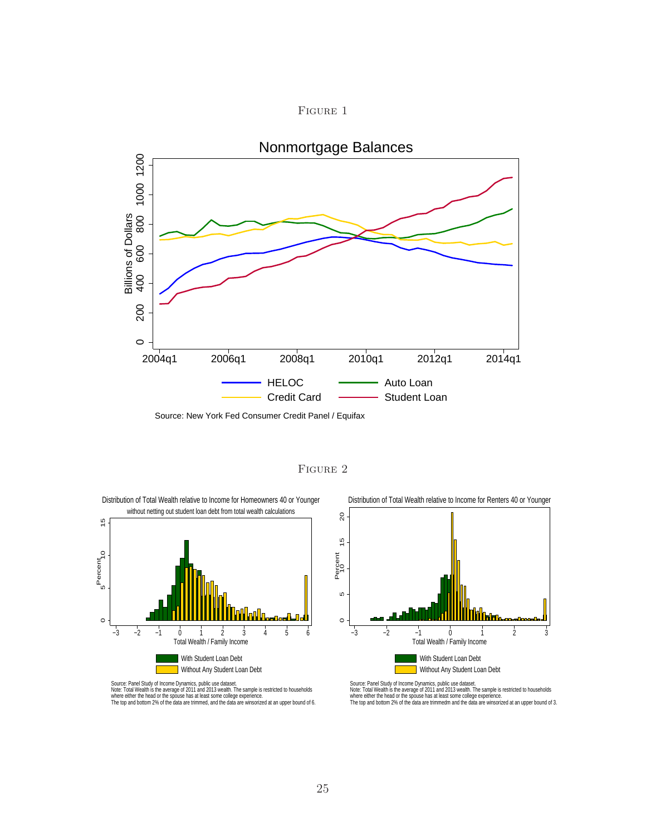

<span id="page-25-0"></span>

Source: New York Fed Consumer Credit Panel / Equifax

Figure 2

<span id="page-25-1"></span>

Source: Panel Study of Income Dynamics, public use dataset.<br>Note: Total Wealth is the average of 2011 and 2013 wealth. The sample is restricted to households<br>where either the head or the spouse has at least some college ex



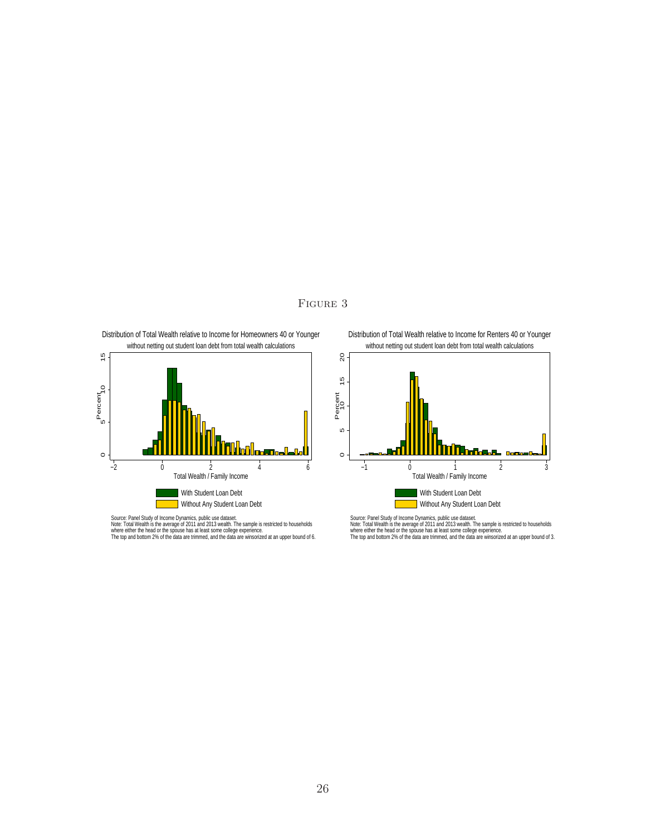

<span id="page-26-0"></span>

Source: Panel Study of Income Dynamics, public use dataset.<br>Note: Total Wealth is the average of 2011 and 2013 wealth. The sample is restricted to households<br>where either the head or the spouse has at least some college ex

without netting out student loan debt from total wealth calculations Distribution of Total Wealth relative to Income for Renters 40 or Younger



Source: Panel Study of Income Dynamics, public use dataset.<br>Note: Total Wealth is the average of 2011 and 2013 wealth. The sample is restricted to households<br>where either the head or the spouse has at least some college ex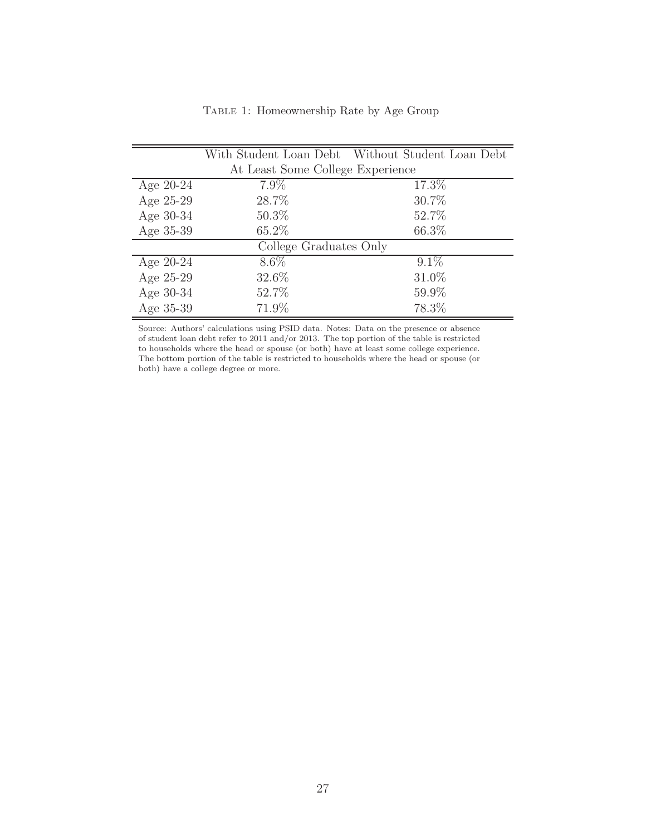<span id="page-27-0"></span>

|                        |                                  | With Student Loan Debt Without Student Loan Debt |  |
|------------------------|----------------------------------|--------------------------------------------------|--|
|                        | At Least Some College Experience |                                                  |  |
| Age 20-24              | $7.9\%$                          | 17.3%                                            |  |
| Age 25-29              | 28.7%                            | 30.7%                                            |  |
| Age 30-34              | $50.3\%$                         | 52.7%                                            |  |
| Age 35-39              | 65.2\%                           | 66.3%                                            |  |
| College Graduates Only |                                  |                                                  |  |
| Age $20-24$            | $8.6\%$                          | $9.1\%$                                          |  |
| Age 25-29              | 32.6%                            | 31.0%                                            |  |
| Age 30-34              | 52.7%                            | 59.9%                                            |  |
| Age 35-39              | 71.9%                            | 78.3%                                            |  |

Table 1: Homeownership Rate by Age Group

Source: Authors' calculations using PSID data. Notes: Data on the presence or absence of student loan debt refer to 2011 and/or 2013. The top portion of the table is restricted to households where the head or spouse (or both) have at least some college experience. The bottom portion of the table is restricted to households where the head or spouse (or both) have a college degree or more.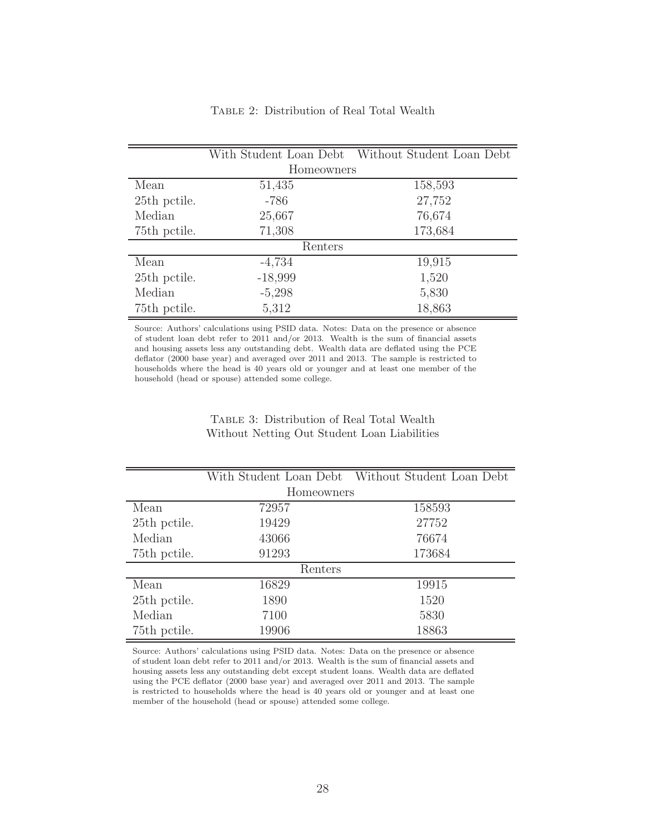<span id="page-28-0"></span>

|                          |            | With Student Loan Debt Without Student Loan Debt |  |  |
|--------------------------|------------|--------------------------------------------------|--|--|
|                          | Homeowners |                                                  |  |  |
| Mean                     | 51,435     | 158,593                                          |  |  |
| 25th petile.             | $-786$     | 27,752                                           |  |  |
| Median                   | 25,667     | 76,674                                           |  |  |
| 75th petile.             | 71,308     | 173,684                                          |  |  |
| Renters                  |            |                                                  |  |  |
| Mean                     | $-4,734$   | 19,915                                           |  |  |
| 25th pctile.             | $-18,999$  | 1,520                                            |  |  |
| Median                   | $-5,298$   | 5,830                                            |  |  |
| 75 <sup>th</sup> pctile. | 5,312      | 18,863                                           |  |  |

#### Table 2: Distribution of Real Total Wealth

Source: Authors' calculations using PSID data. Notes: Data on the presence or absence of student loan debt refer to 2011 and/or 2013. Wealth is the sum of financial assets and housing assets less any outstanding debt. Wealth data are deflated using the PCE deflator (2000 base year) and averaged over 2011 and 2013. The sample is restricted to households where the head is 40 years old or younger and at least one member of the household (head or spouse) attended some college.

#### Table 3: Distribution of Real Total Wealth Without Netting Out Student Loan Liabilities

<span id="page-28-1"></span>

|                          |       | With Student Loan Debt Without Student Loan Debt |  |  |
|--------------------------|-------|--------------------------------------------------|--|--|
| Homeowners               |       |                                                  |  |  |
| Mean                     | 72957 | 158593                                           |  |  |
| 25th petile.             | 19429 | 27752                                            |  |  |
| Median                   | 43066 | 76674                                            |  |  |
| 75th petile.             | 91293 | 173684                                           |  |  |
| Renters                  |       |                                                  |  |  |
| Mean                     | 16829 | 19915                                            |  |  |
| 25th pctile.             | 1890  | 1520                                             |  |  |
| Median                   | 7100  | 5830                                             |  |  |
| 75 <sup>th</sup> pctile. | 19906 | 18863                                            |  |  |

Source: Authors' calculations using PSID data. Notes: Data on the presence or absence of student loan debt refer to 2011 and/or 2013. Wealth is the sum of financial assets and housing assets less any outstanding debt except student loans. Wealth data are deflated using the PCE deflator (2000 base year) and averaged over 2011 and 2013. The sample is restricted to households where the head is 40 years old or younger and at least one member of the household (head or spouse) attended some college.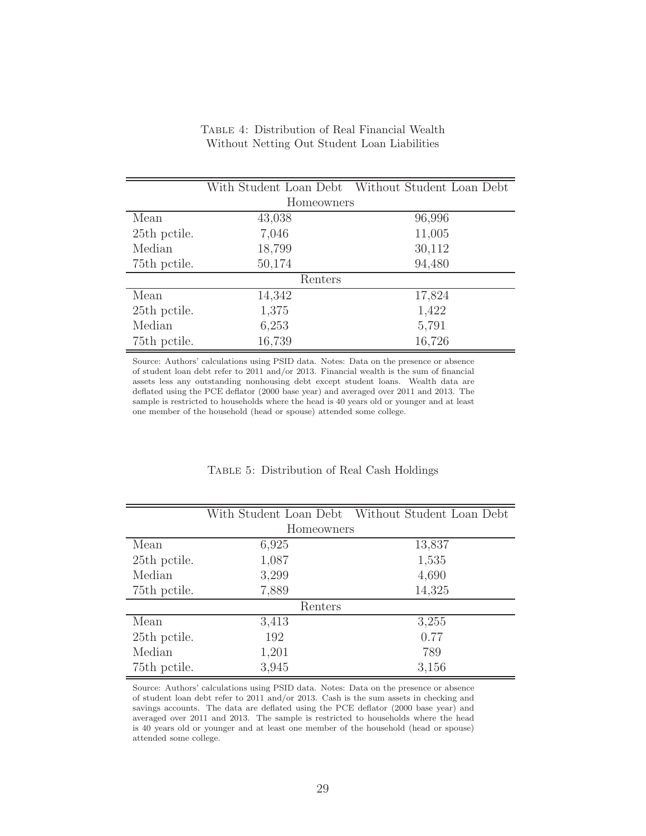<span id="page-29-0"></span>

|                          |            | With Student Loan Debt Without Student Loan Debt |  |
|--------------------------|------------|--------------------------------------------------|--|
|                          | Homeowners |                                                  |  |
| Mean                     | 43,038     | 96,996                                           |  |
| 25th pctile.             | 7,046      | 11,005                                           |  |
| Median                   | 18,799     | 30,112                                           |  |
| 75th petile.             | 50,174     | 94,480                                           |  |
| Renters                  |            |                                                  |  |
| Mean                     | 14,342     | 17,824                                           |  |
| 25th pctile.             | 1,375      | 1,422                                            |  |
| Median                   | 6,253      | 5,791                                            |  |
| 75 <sup>th</sup> pctile. | 16,739     | 16,726                                           |  |

### Table 4: Distribution of Real Financial Wealth Without Netting Out Student Loan Liabilities

Source: Authors' calculations using PSID data. Notes: Data on the presence or absence of student loan debt refer to 2011 and/or 2013. Financial wealth is the sum of financial assets less any outstanding nonhousing debt except student loans. Wealth data are deflated using the PCE deflator (2000 base year) and averaged over 2011 and 2013. The sample is restricted to households where the head is 40 years old or younger and at least one member of the household (head or spouse) attended some college.

<span id="page-29-1"></span>

|              |            | With Student Loan Debt Without Student Loan Debt |  |  |
|--------------|------------|--------------------------------------------------|--|--|
|              | Homeowners |                                                  |  |  |
| Mean         | 6,925      | 13,837                                           |  |  |
| 25th pctile. | 1,087      | 1,535                                            |  |  |
| Median       | 3,299      | 4,690                                            |  |  |
| 75th petile. | 7,889      | 14,325                                           |  |  |
| Renters      |            |                                                  |  |  |
| Mean         | 3,413      | 3,255                                            |  |  |
| 25th pctile. | 192        | 0.77                                             |  |  |
| Median       | 1,201      | 789                                              |  |  |
| 75th petile. | 3,945      | 3,156                                            |  |  |

#### Table 5: Distribution of Real Cash Holdings

Source: Authors' calculations using PSID data. Notes: Data on the presence or absence of student loan debt refer to 2011 and/or 2013. Cash is the sum assets in checking and savings accounts. The data are deflated using the PCE deflator (2000 base year) and averaged over 2011 and 2013. The sample is restricted to households where the head is 40 years old or younger and at least one member of the household (head or spouse) attended some college.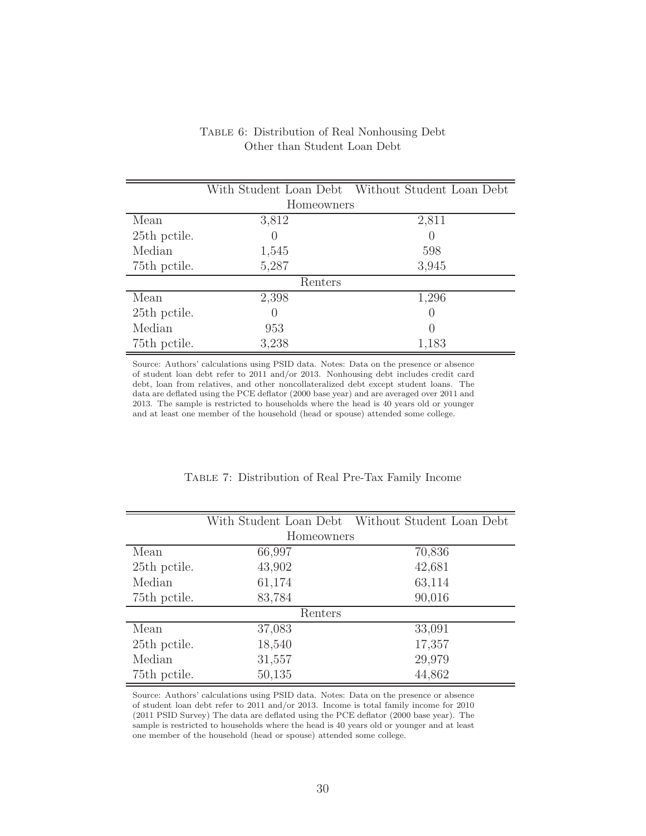<span id="page-30-1"></span>

|                          |                  | With Student Loan Debt Without Student Loan Debt |  |  |  |
|--------------------------|------------------|--------------------------------------------------|--|--|--|
|                          | Homeowners       |                                                  |  |  |  |
| Mean                     | 3,812            | 2,811                                            |  |  |  |
| 25th pctile.             |                  | $\left( \right)$                                 |  |  |  |
| Median                   | 1,545            | 598                                              |  |  |  |
| 75th petile.             | 5,287            | 3,945                                            |  |  |  |
| Renters                  |                  |                                                  |  |  |  |
| Mean                     | 2,398            | 1,296                                            |  |  |  |
| 25th pctile.             | $\left( \right)$ | $\left( \right)$                                 |  |  |  |
| Median                   | 953              | $\left( \right)$                                 |  |  |  |
| 75 <sup>th</sup> pctile. | 3,238            | 1,183                                            |  |  |  |

#### Table 6: Distribution of Real Nonhousing Debt Other than Student Loan Debt

Source: Authors' calculations using PSID data. Notes: Data on the presence or absence of student loan debt refer to 2011 and/or 2013. Nonhousing debt includes credit card debt, loan from relatives, and other noncollateralized debt except student loans. The data are deflated using the PCE deflator (2000 base year) and are averaged over 2011 and 2013. The sample is restricted to households where the head is 40 years old or younger and at least one member of the household (head or spouse) attended some college.

<span id="page-30-0"></span>

|              |            | With Student Loan Debt Without Student Loan Debt |  |
|--------------|------------|--------------------------------------------------|--|
|              | Homeowners |                                                  |  |
| Mean         | 66,997     | 70,836                                           |  |
| 25th pctile. | 43,902     | 42,681                                           |  |
| Median       | 61,174     | 63,114                                           |  |
| 75th pctile. | 83,784     | 90,016                                           |  |
| Renters      |            |                                                  |  |
| Mean         | 37,083     | 33,091                                           |  |
| 25th pctile. | 18,540     | 17,357                                           |  |
| Median       | 31,557     | 29,979                                           |  |
| 75th petile. | 50,135     | 44,862                                           |  |

Table 7: Distribution of Real Pre-Tax Family Income

Source: Authors' calculations using PSID data. Notes: Data on the presence or absence of student loan debt refer to 2011 and/or 2013. Income is total family income for 2010 (2011 PSID Survey) The data are deflated using the PCE deflator (2000 base year). The sample is restricted to households where the head is 40 years old or younger and at least one member of the household (head or spouse) attended some college.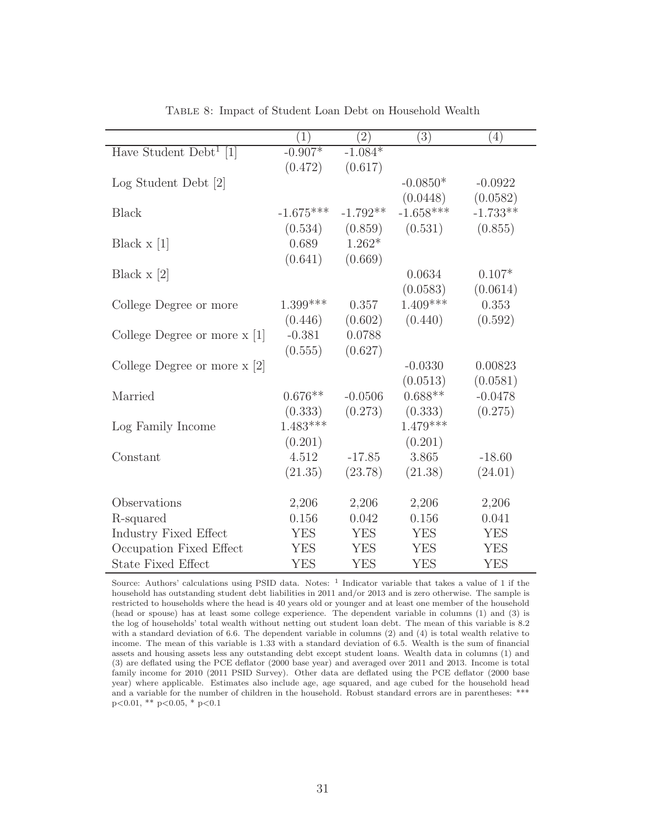<span id="page-31-0"></span>

|                                              | $\left(1\right)$ | $\left( 2\right)$ | (3)         | (4)        |
|----------------------------------------------|------------------|-------------------|-------------|------------|
| Have Student Debt <sup>1</sup> [1]           | $-0.907*$        | $-1.084*$         |             |            |
|                                              | (0.472)          | (0.617)           |             |            |
| Log Student Debt [2]                         |                  |                   | $-0.0850*$  | $-0.0922$  |
|                                              |                  |                   | (0.0448)    | (0.0582)   |
| <b>Black</b>                                 | $-1.675***$      | $-1.792**$        | $-1.658***$ | $-1.733**$ |
|                                              | (0.534)          | (0.859)           | (0.531)     | (0.855)    |
| Black $x$ [1]                                | 0.689            | $1.262*$          |             |            |
|                                              | (0.641)          | (0.669)           |             |            |
| Black $x$ [2]                                |                  |                   | 0.0634      | $0.107*$   |
|                                              |                  |                   | (0.0583)    | (0.0614)   |
| College Degree or more                       | $1.399***$       | 0.357             | $1.409***$  | 0.353      |
|                                              | (0.446)          | (0.602)           | (0.440)     | (0.592)    |
| College Degree or more $x \lfloor 1 \rfloor$ | $-0.381$         | 0.0788            |             |            |
|                                              | (0.555)          | (0.627)           |             |            |
| College Degree or more $x$ [2]               |                  |                   | $-0.0330$   | 0.00823    |
|                                              |                  |                   | (0.0513)    | (0.0581)   |
| Married                                      | $0.676**$        | $-0.0506$         | $0.688**$   | $-0.0478$  |
|                                              | (0.333)          | (0.273)           | (0.333)     | (0.275)    |
| Log Family Income                            | $1.483***$       |                   | $1.479***$  |            |
|                                              | (0.201)          |                   | (0.201)     |            |
| Constant                                     | 4.512            | $-17.85$          | 3.865       | $-18.60$   |
|                                              | (21.35)          | (23.78)           | (21.38)     | (24.01)    |
|                                              |                  |                   |             |            |
| Observations                                 | 2,206            | 2,206             | 2,206       | 2,206      |
| R-squared                                    | 0.156            | 0.042             | 0.156       | 0.041      |
| Industry Fixed Effect                        | <b>YES</b>       | <b>YES</b>        | <b>YES</b>  | <b>YES</b> |
| Occupation Fixed Effect                      | <b>YES</b>       | <b>YES</b>        | <b>YES</b>  | <b>YES</b> |
| <b>State Fixed Effect</b>                    | <b>YES</b>       | <b>YES</b>        | <b>YES</b>  | <b>YES</b> |

Table 8: Impact of Student Loan Debt on Household Wealth

Source: Authors' calculations using PSID data. Notes:  $1$  Indicator variable that takes a value of 1 if the household has outstanding student debt liabilities in 2011 and/or 2013 and is zero otherwise. The sample is restricted to households where the head is 40 years old or younger and at least one member of the household (head or spouse) has at least some college experience. The dependent variable in columns (1) and (3) is the log of households' total wealth without netting out student loan debt. The mean of this variable is 8.2 with a standard deviation of 6.6. The dependent variable in columns (2) and (4) is total wealth relative to income. The mean of this variable is 1.33 with a standard deviation of 6.5. Wealth is the sum of financial assets and housing assets less any outstanding debt except student loans. Wealth data in columns (1) and (3) are deflated using the PCE deflator (2000 base year) and averaged over 2011 and 2013. Income is total family income for 2010 (2011 PSID Survey). Other data are deflated using the PCE deflator (2000 base year) where applicable. Estimates also include age, age squared, and age cubed for the household head and a variable for the number of children in the household. Robust standard errors are in parentheses: \*\*\*  $p<0.01$ , \*\*  $p<0.05$ , \*  $p<0.1$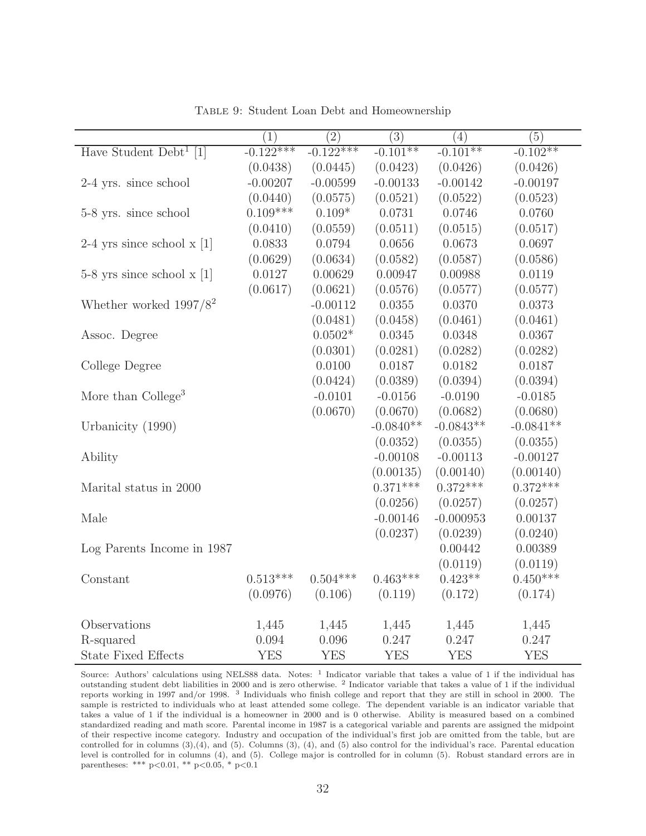<span id="page-32-0"></span>

|                                    | (1)         | $\overline{(2)}$ | $\overline{(3)}$ | (4)         | (5)         |
|------------------------------------|-------------|------------------|------------------|-------------|-------------|
|                                    |             |                  |                  |             |             |
| Have Student Debt <sup>1</sup> [1] | $-0.122***$ | $-0.122***$      | $-0.101**$       | $-0.101**$  | $-0.102**$  |
|                                    | (0.0438)    | (0.0445)         | (0.0423)         | (0.0426)    | (0.0426)    |
| 2-4 yrs. since school              | $-0.00207$  | $-0.00599$       | $-0.00133$       | $-0.00142$  | $-0.00197$  |
|                                    | (0.0440)    | (0.0575)         | (0.0521)         | (0.0522)    | (0.0523)    |
| 5-8 yrs. since school              | $0.109***$  | $0.109*$         | 0.0731           | 0.0746      | 0.0760      |
|                                    | (0.0410)    | (0.0559)         | (0.0511)         | (0.0515)    | (0.0517)    |
| 2-4 yrs since school $x$ [1]       | 0.0833      | 0.0794           | 0.0656           | 0.0673      | 0.0697      |
|                                    | (0.0629)    | (0.0634)         | (0.0582)         | (0.0587)    | (0.0586)    |
| 5-8 yrs since school $x$ [1]       | 0.0127      | 0.00629          | 0.00947          | 0.00988     | 0.0119      |
|                                    | (0.0617)    | (0.0621)         | (0.0576)         | (0.0577)    | (0.0577)    |
| Whether worked $1997/8^2$          |             | $-0.00112$       | 0.0355           | 0.0370      | 0.0373      |
|                                    |             | (0.0481)         | (0.0458)         | (0.0461)    | (0.0461)    |
| Assoc. Degree                      |             | $0.0502*$        | 0.0345           | 0.0348      | 0.0367      |
|                                    |             | (0.0301)         | (0.0281)         | (0.0282)    | (0.0282)    |
| College Degree                     |             | 0.0100           | 0.0187           | 0.0182      | 0.0187      |
|                                    |             | (0.0424)         | (0.0389)         | (0.0394)    | (0.0394)    |
| More than $\text{College}^3$       |             | $-0.0101$        | $-0.0156$        | $-0.0190$   | $-0.0185$   |
|                                    |             | (0.0670)         | (0.0670)         | (0.0682)    | (0.0680)    |
| Urbanicity (1990)                  |             |                  | $-0.0840**$      | $-0.0843**$ | $-0.0841**$ |
|                                    |             |                  | (0.0352)         | (0.0355)    | (0.0355)    |
| Ability                            |             |                  | $-0.00108$       | $-0.00113$  | $-0.00127$  |
|                                    |             |                  | (0.00135)        | (0.00140)   | (0.00140)   |
| Marital status in 2000             |             |                  | $0.371***$       | $0.372***$  | $0.372***$  |
|                                    |             |                  | (0.0256)         | (0.0257)    | (0.0257)    |
| Male                               |             |                  | $-0.00146$       | $-0.000953$ | 0.00137     |
|                                    |             |                  | (0.0237)         | (0.0239)    | (0.0240)    |
| Log Parents Income in 1987         |             |                  |                  | 0.00442     | 0.00389     |
|                                    |             |                  |                  | (0.0119)    | (0.0119)    |
| Constant                           | $0.513***$  | $0.504***$       | $0.463***$       | $0.423**$   | $0.450***$  |
|                                    |             |                  |                  |             |             |
|                                    | (0.0976)    | (0.106)          | (0.119)          | (0.172)     | (0.174)     |
| Observations                       |             |                  |                  |             |             |
|                                    | 1,445       | 1,445            | 1,445            | 1,445       | 1,445       |
| R-squared                          | 0.094       | 0.096            | 0.247            | 0.247       | 0.247       |
| <b>State Fixed Effects</b>         | <b>YES</b>  | <b>YES</b>       | <b>YES</b>       | <b>YES</b>  | <b>YES</b>  |

Table 9: Student Loan Debt and Homeownership

Source: Authors' calculations using NELS88 data. Notes:  $1$  Indicator variable that takes a value of 1 if the individual has outstanding student debt liabilities in 2000 and is zero otherwise. <sup>2</sup> Indicator variable that takes a value of 1 if the individual reports working in 1997 and/or 1998. <sup>3</sup> Individuals who finish college and report that they are still in school in 2000. The sample is restricted to individuals who at least attended some college. The dependent variable is an indicator variable that takes a value of 1 if the individual is a homeowner in 2000 and is 0 otherwise. Ability is measured based on a combined standardized reading and math score. Parental income in 1987 is a categorical variable and parents are assigned the midpoint of their respective income category. Industry and occupation of the individual's first job are omitted from the table, but are controlled for in columns  $(3),(4)$ , and  $(5)$ . Columns  $(3),(4)$ , and  $(5)$  also control for the individual's race. Parental education level is controlled for in columns (4), and (5). College major is controlled for in column (5). Robust standard errors are in parentheses: \*\*\*  $p<0.01$ , \*\*  $p<0.05$ , \*  $p<0.1$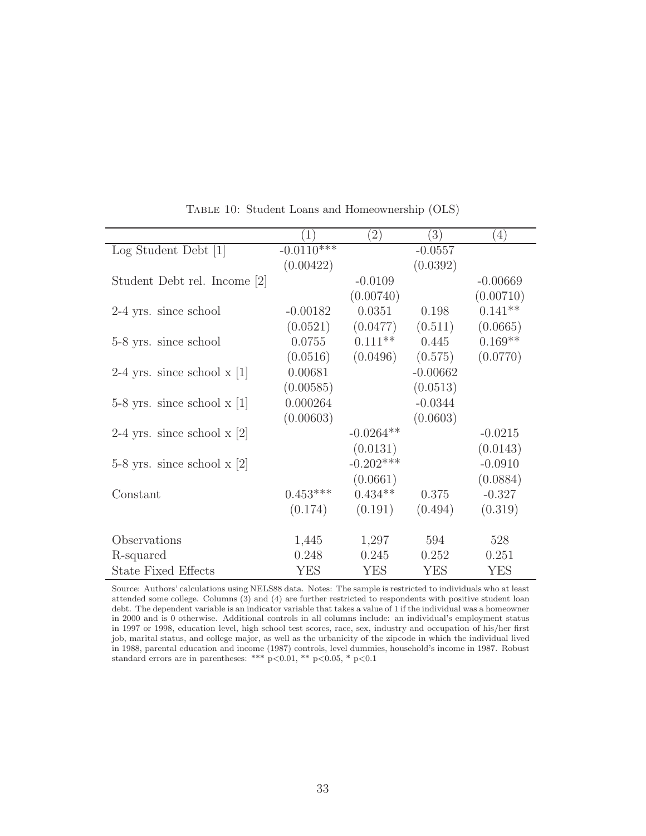<span id="page-33-0"></span>

|                               |              | $\left( 2\right)$ | $\left(3\right)$ | (4)        |
|-------------------------------|--------------|-------------------|------------------|------------|
| Log Student Debt [1]          | $-0.0110***$ |                   | $-0.0557$        |            |
|                               | (0.00422)    |                   | (0.0392)         |            |
| Student Debt rel. Income [2]  |              | $-0.0109$         |                  | $-0.00669$ |
|                               |              | (0.00740)         |                  | (0.00710)  |
| 2-4 yrs. since school         | $-0.00182$   | 0.0351            | 0.198            | $0.141**$  |
|                               | (0.0521)     | (0.0477)          | (0.511)          | (0.0665)   |
| 5-8 yrs. since school         | 0.0755       | $0.111**$         | 0.445            | $0.169**$  |
|                               | (0.0516)     | (0.0496)          | (0.575)          | (0.0770)   |
| 2-4 yrs. since school $x$ [1] | 0.00681      |                   | $-0.00662$       |            |
|                               | (0.00585)    |                   | (0.0513)         |            |
| 5-8 yrs. since school $x$ [1] | 0.000264     |                   | $-0.0344$        |            |
|                               | (0.00603)    |                   | (0.0603)         |            |
| 2-4 yrs. since school $x$ [2] |              | $-0.0264**$       |                  | $-0.0215$  |
|                               |              | (0.0131)          |                  | (0.0143)   |
| 5-8 yrs. since school $x$ [2] |              | $-0.202***$       |                  | $-0.0910$  |
|                               |              | (0.0661)          |                  | (0.0884)   |
| Constant                      | $0.453***$   | $0.434**$         | 0.375            | $-0.327$   |
|                               | (0.174)      | (0.191)           | (0.494)          | (0.319)    |
| Observations                  | 1,445        | 1,297             | 594              | 528        |
| R-squared                     | 0.248        | 0.245             | 0.252            | 0.251      |
| <b>State Fixed Effects</b>    | <b>YES</b>   | <b>YES</b>        | <b>YES</b>       | <b>YES</b> |

Table 10: Student Loans and Homeownership (OLS)

Source: Authors' calculations using NELS88 data. Notes: The sample is restricted to individuals who at least attended some college. Columns (3) and (4) are further restricted to respondents with positive student loan debt. The dependent variable is an indicator variable that takes a value of 1 if the individual was a homeowner in 2000 and is 0 otherwise. Additional controls in all columns include: an individual's employment status in 1997 or 1998, education level, high school test scores, race, sex, industry and occupation of his/her first job, marital status, and college major, as well as the urbanicity of the zipcode in which the individual lived in 1988, parental education and income (1987) controls, level dummies, household's income in 1987. Robust standard errors are in parentheses: \*\*\* p<0.01, \*\* p<0.05, \* p<0.1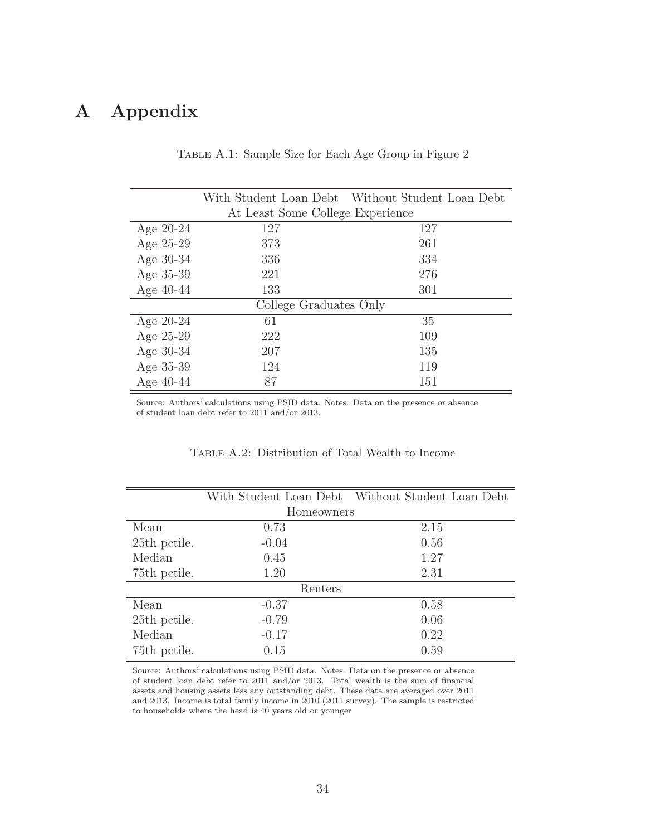# <span id="page-34-0"></span>A Appendix

|                        |                                  | With Student Loan Debt Without Student Loan Debt |  |  |
|------------------------|----------------------------------|--------------------------------------------------|--|--|
|                        | At Least Some College Experience |                                                  |  |  |
| Age $20-24$            | 127                              | 127                                              |  |  |
| Age 25-29              | 373                              | 261                                              |  |  |
| Age $30-34$            | 336                              | 334                                              |  |  |
| Age 35-39              | 221                              | 276                                              |  |  |
| Age $40-44$            | 133                              | 301                                              |  |  |
| College Graduates Only |                                  |                                                  |  |  |
| Age $20-24$            | 61                               | 35                                               |  |  |
| Age 25-29              | 222                              | 109                                              |  |  |
| Age $30-34$            | 207                              | 135                                              |  |  |
| Age 35-39              | 124                              | 119                                              |  |  |
| Age $40-44$            | 87                               | 151                                              |  |  |

Table A.1: Sample Size for Each Age Group in Figure 2

<span id="page-34-1"></span>Source: Authors' calculations using PSID data. Notes: Data on the presence or absence of student loan debt refer to 2011 and/or 2013.

|                          |            | With Student Loan Debt Without Student Loan Debt |  |  |
|--------------------------|------------|--------------------------------------------------|--|--|
|                          | Homeowners |                                                  |  |  |
| Mean                     | 0.73       | 2.15                                             |  |  |
| 25th petile.             | $-0.04$    | 0.56                                             |  |  |
| Median                   | 0.45       | 1.27                                             |  |  |
| 75th petile.             | 1.20       | 2.31                                             |  |  |
| Renters                  |            |                                                  |  |  |
| Mean                     | $-0.37$    | 0.58                                             |  |  |
| 25th pctile.             | $-0.79$    | 0.06                                             |  |  |
| Median                   | $-0.17$    | 0.22                                             |  |  |
| 75 <sup>th</sup> pctile. | 0.15       | 0.59                                             |  |  |

Table A.2: Distribution of Total Wealth-to-Income

Source: Authors' calculations using PSID data. Notes: Data on the presence or absence of student loan debt refer to 2011 and/or 2013. Total wealth is the sum of financial assets and housing assets less any outstanding debt. These data are averaged over 2011 and 2013. Income is total family income in 2010 (2011 survey). The sample is restricted to households where the head is 40 years old or younger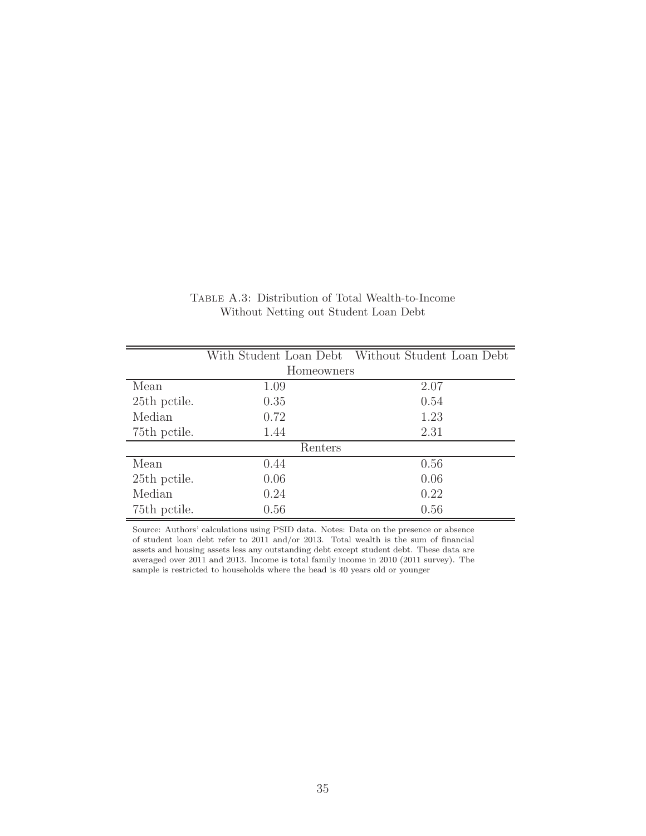<span id="page-35-0"></span>

|                          |      | With Student Loan Debt Without Student Loan Debt |  |  |  |
|--------------------------|------|--------------------------------------------------|--|--|--|
| Homeowners               |      |                                                  |  |  |  |
| Mean                     | 1.09 | 2.07                                             |  |  |  |
| 25th pctile.             | 0.35 | 0.54                                             |  |  |  |
| Median                   | 0.72 | 1.23                                             |  |  |  |
| 75 <sup>th</sup> pctile. | 1.44 | 2.31                                             |  |  |  |
| Renters                  |      |                                                  |  |  |  |
| Mean                     | 0.44 | 0.56                                             |  |  |  |
| 25th petile.             | 0.06 | 0.06                                             |  |  |  |
| Median                   | 0.24 | 0.22                                             |  |  |  |
| 75 <sup>th</sup> pctile. | 0.56 | 0.56                                             |  |  |  |

### Table A.3: Distribution of Total Wealth-to-Income Without Netting out Student Loan Debt

Source: Authors' calculations using PSID data. Notes: Data on the presence or absence of student loan debt refer to 2011 and/or 2013. Total wealth is the sum of financial assets and housing assets less any outstanding debt except student debt. These data are averaged over 2011 and 2013. Income is total family income in 2010 (2011 survey). The sample is restricted to households where the head is 40 years old or younger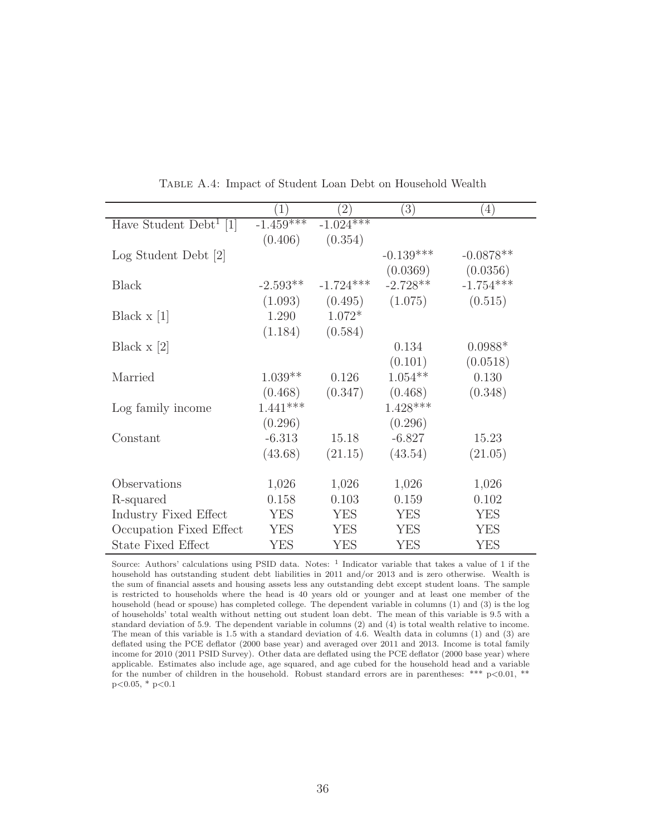<span id="page-36-0"></span>

|                                    | $\left(1\right)$ | $\left( 2\right)$ | (3)         | (4)         |
|------------------------------------|------------------|-------------------|-------------|-------------|
| Have Student Debt <sup>1</sup> [1] | $-1.459***$      | $-1.024***$       |             |             |
|                                    | (0.406)          | (0.354)           |             |             |
| Log Student Debt [2]               |                  |                   | $-0.139***$ | $-0.0878**$ |
|                                    |                  |                   | (0.0369)    | (0.0356)    |
| <b>Black</b>                       | $-2.593**$       | $-1.724***$       | $-2.728**$  | $-1.754***$ |
|                                    | (1.093)          | (0.495)           | (1.075)     | (0.515)     |
| Black $x$ [1]                      | 1.290            | $1.072*$          |             |             |
|                                    | (1.184)          | (0.584)           |             |             |
| Black $x$ [2]                      |                  |                   | 0.134       | $0.0988*$   |
|                                    |                  |                   | (0.101)     | (0.0518)    |
| Married                            | $1.039**$        | 0.126             | $1.054**$   | 0.130       |
|                                    | (0.468)          | (0.347)           | (0.468)     | (0.348)     |
| Log family income                  | $1.441***$       |                   | $1.428***$  |             |
|                                    | (0.296)          |                   | (0.296)     |             |
| Constant                           | $-6.313$         | 15.18             | $-6.827$    | 15.23       |
|                                    | (43.68)          | (21.15)           | (43.54)     | (21.05)     |
|                                    |                  |                   |             |             |
| Observations                       | 1,026            | 1,026             | 1,026       | 1,026       |
| R-squared                          | 0.158            | 0.103             | 0.159       | 0.102       |
| Industry Fixed Effect              | <b>YES</b>       | <b>YES</b>        | <b>YES</b>  | <b>YES</b>  |
| Occupation Fixed Effect            | <b>YES</b>       | <b>YES</b>        | <b>YES</b>  | <b>YES</b>  |
| <b>State Fixed Effect</b>          | <b>YES</b>       | <b>YES</b>        | <b>YES</b>  | <b>YES</b>  |

Table A.4: Impact of Student Loan Debt on Household Wealth

Source: Authors' calculations using PSID data. Notes:  $1$  Indicator variable that takes a value of 1 if the household has outstanding student debt liabilities in 2011 and/or 2013 and is zero otherwise. Wealth is the sum of financial assets and housing assets less any outstanding debt except student loans. The sample is restricted to households where the head is 40 years old or younger and at least one member of the household (head or spouse) has completed college. The dependent variable in columns (1) and (3) is the log of households' total wealth without netting out student loan debt. The mean of this variable is 9.5 with a standard deviation of 5.9. The dependent variable in columns (2) and (4) is total wealth relative to income. The mean of this variable is 1.5 with a standard deviation of 4.6. Wealth data in columns (1) and (3) are deflated using the PCE deflator (2000 base year) and averaged over 2011 and 2013. Income is total family income for 2010 (2011 PSID Survey). Other data are deflated using the PCE deflator (2000 base year) where applicable. Estimates also include age, age squared, and age cubed for the household head and a variable for the number of children in the household. Robust standard errors are in parentheses: \*\*\*  $p<0.01$ , \*\*  $p<0.05$ , \*  $p<0.1$